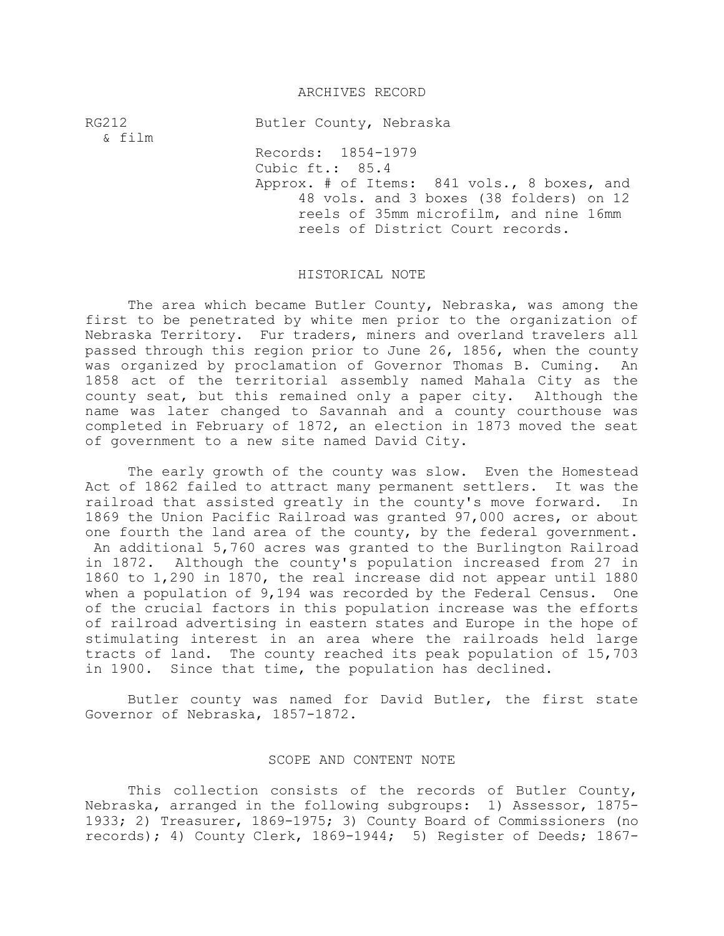## ARCHIVES RECORD

RG212 Butler County, Nebraska & film Records: 1854-1979 Cubic ft.: 85.4 Approx. # of Items: 841 vols., 8 boxes, and 48 vols. and 3 boxes (38 folders) on 12 reels of 35mm microfilm, and nine 16mm reels of District Court records.

## HISTORICAL NOTE

The area which became Butler County, Nebraska, was among the first to be penetrated by white men prior to the organization of Nebraska Territory. Fur traders, miners and overland travelers all passed through this region prior to June 26, 1856, when the county was organized by proclamation of Governor Thomas B. Cuming. An 1858 act of the territorial assembly named Mahala City as the county seat, but this remained only a paper city. Although the name was later changed to Savannah and a county courthouse was completed in February of 1872, an election in 1873 moved the seat of government to a new site named David City.

The early growth of the county was slow. Even the Homestead Act of 1862 failed to attract many permanent settlers. It was the railroad that assisted greatly in the county's move forward. In 1869 the Union Pacific Railroad was granted 97,000 acres, or about one fourth the land area of the county, by the federal government. An additional 5,760 acres was granted to the Burlington Railroad in 1872. Although the county's population increased from 27 in 1860 to 1,290 in 1870, the real increase did not appear until 1880 when a population of 9,194 was recorded by the Federal Census. One of the crucial factors in this population increase was the efforts of railroad advertising in eastern states and Europe in the hope of stimulating interest in an area where the railroads held large tracts of land. The county reached its peak population of 15,703 in 1900. Since that time, the population has declined.

Butler county was named for David Butler, the first state Governor of Nebraska, 1857-1872.

## SCOPE AND CONTENT NOTE

This collection consists of the records of Butler County, Nebraska, arranged in the following subgroups: 1) Assessor, 1875- 1933; 2) Treasurer, 1869-1975; 3) County Board of Commissioners (no records); 4) County Clerk, 1869-1944; 5) Register of Deeds; 1867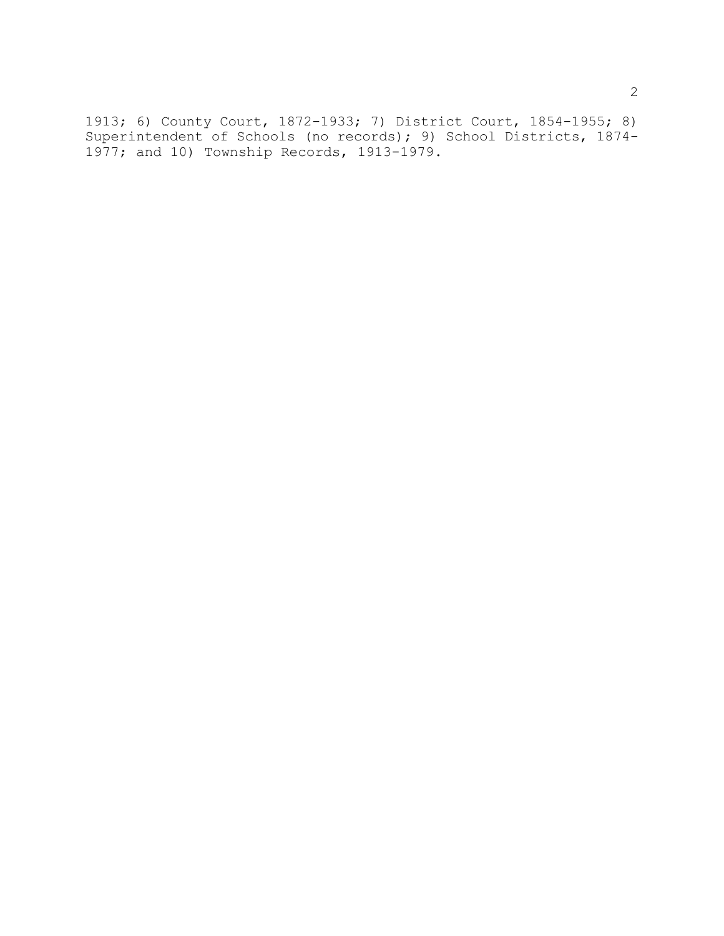1913; 6) County Court, 1872-1933; 7) District Court, 1854-1955; 8) Superintendent of Schools (no records); 9) School Districts, 1874- 1977; and 10) Township Records, 1913-1979.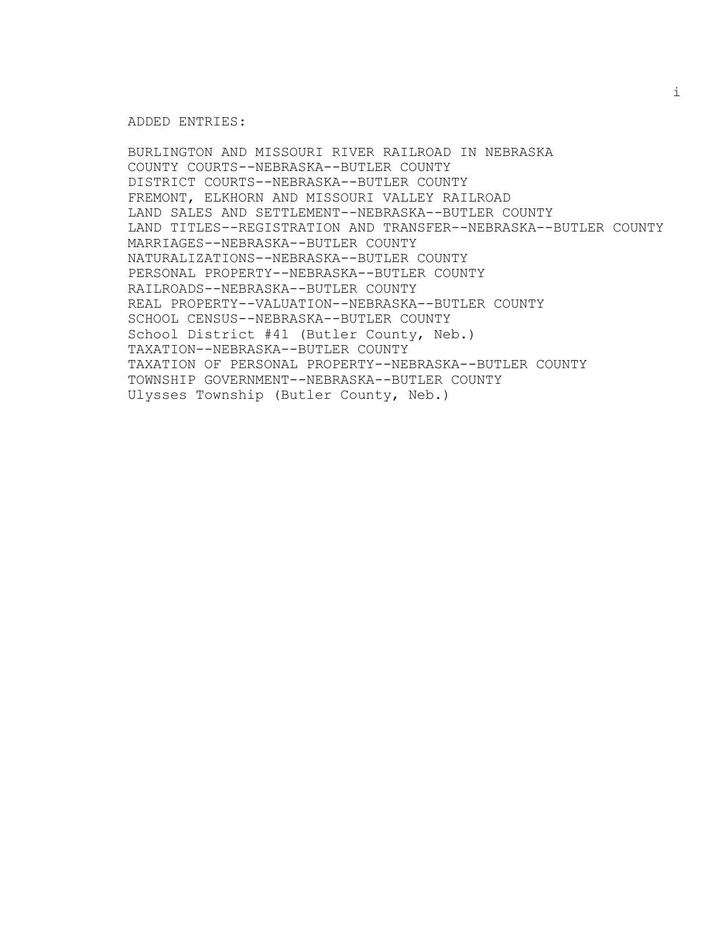#### ADDED ENTRIES:

BURLINGTON AND MISSOURI RIVER RAILROAD IN NEBRASKA COUNTY COURTS--NEBRASKA--BUTLER COUNTY DISTRICT COURTS--NEBRASKA--BUTLER COUNTY FREMONT, ELKHORN AND MISSOURI VALLEY RAILROAD LAND SALES AND SETTLEMENT--NEBRASKA--BUTLER COUNTY LAND TITLES--REGISTRATION AND TRANSFER--NEBRASKA--BUTLER COUNTY MARRIAGES--NEBRASKA--BUTLER COUNTY NATURALIZATIONS--NEBRASKA--BUTLER COUNTY PERSONAL PROPERTY--NEBRASKA--BUTLER COUNTY RAILROADS--NEBRASKA--BUTLER COUNTY REAL PROPERTY--VALUATION--NEBRASKA--BUTLER COUNTY SCHOOL CENSUS--NEBRASKA--BUTLER COUNTY School District #41 (Butler County, Neb.) TAXATION--NEBRASKA--BUTLER COUNTY TAXATION OF PERSONAL PROPERTY--NEBRASKA--BUTLER COUNTY TOWNSHIP GOVERNMENT--NEBRASKA--BUTLER COUNTY Ulysses Township (Butler County, Neb.)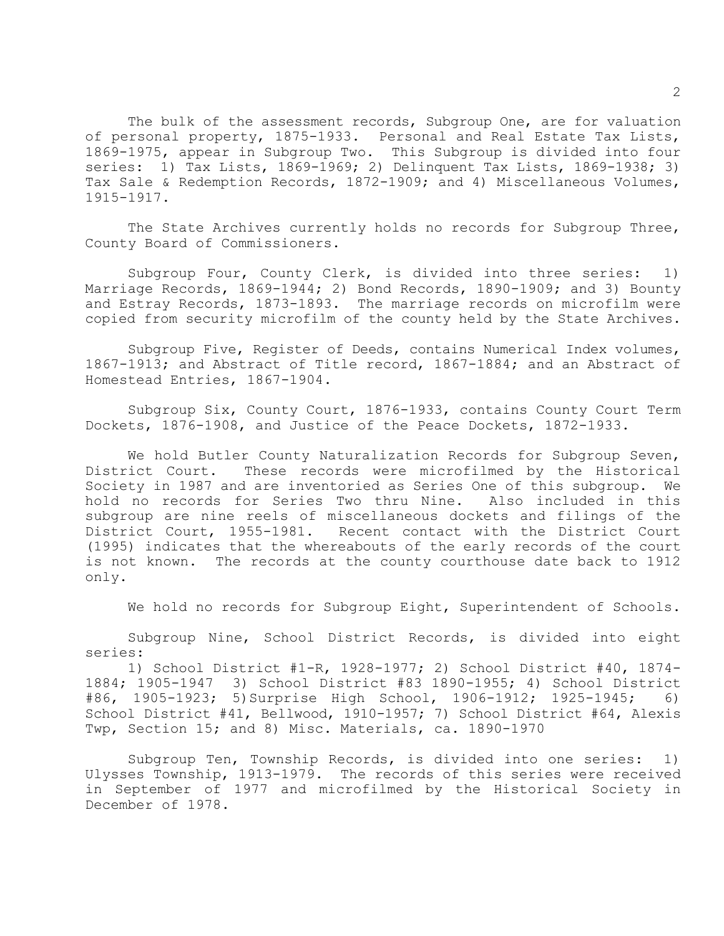The bulk of the assessment records, Subgroup One, are for valuation of personal property, 1875-1933. Personal and Real Estate Tax Lists, 1869-1975, appear in Subgroup Two. This Subgroup is divided into four series: 1) Tax Lists, 1869-1969; 2) Delinquent Tax Lists, 1869-1938; 3) Tax Sale & Redemption Records, 1872-1909; and 4) Miscellaneous Volumes, 1915-1917.

The State Archives currently holds no records for Subgroup Three, County Board of Commissioners.

Subgroup Four, County Clerk, is divided into three series: 1) Marriage Records, 1869-1944; 2) Bond Records, 1890-1909; and 3) Bounty and Estray Records, 1873-1893. The marriage records on microfilm were copied from security microfilm of the county held by the State Archives.

Subgroup Five, Register of Deeds, contains Numerical Index volumes, 1867-1913; and Abstract of Title record, 1867-1884; and an Abstract of Homestead Entries, 1867-1904.

Subgroup Six, County Court, 1876-1933, contains County Court Term Dockets, 1876-1908, and Justice of the Peace Dockets, 1872-1933.

We hold Butler County Naturalization Records for Subgroup Seven, District Court. These records were microfilmed by the Historical Society in 1987 and are inventoried as Series One of this subgroup. We hold no records for Series Two thru Nine. Also included in this subgroup are nine reels of miscellaneous dockets and filings of the District Court, 1955-1981. Recent contact with the District Court (1995) indicates that the whereabouts of the early records of the court is not known. The records at the county courthouse date back to 1912 only.

We hold no records for Subgroup Eight, Superintendent of Schools.

Subgroup Nine, School District Records, is divided into eight series:

1) School District #1-R, 1928-1977; 2) School District #40, 1874- 1884; 1905-1947 3) School District #83 1890-1955; 4) School District #86, 1905-1923; 5)Surprise High School, 1906-1912; 1925-1945; 6) School District #41, Bellwood, 1910-1957; 7) School District #64, Alexis Twp, Section 15; and 8) Misc. Materials, ca. 1890-1970

Subgroup Ten, Township Records, is divided into one series: 1) Ulysses Township, 1913-1979. The records of this series were received in September of 1977 and microfilmed by the Historical Society in December of 1978.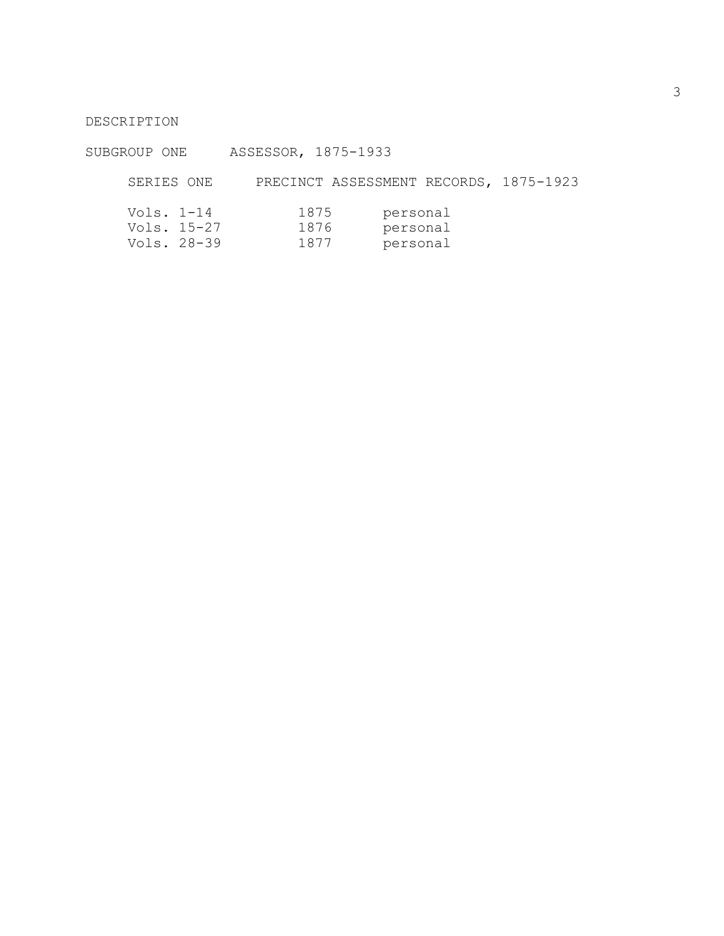# DESCRIPTION

# SUBGROUP ONE ASSESSOR, 1875-1933

# SERIES ONE PRECINCT ASSESSMENT RECORDS, 1875-1923

| Vols. $1-14$ |             | 1875 | personal |
|--------------|-------------|------|----------|
|              | Vols. 15-27 | 1876 | personal |
|              | Vols. 28-39 | 1877 | personal |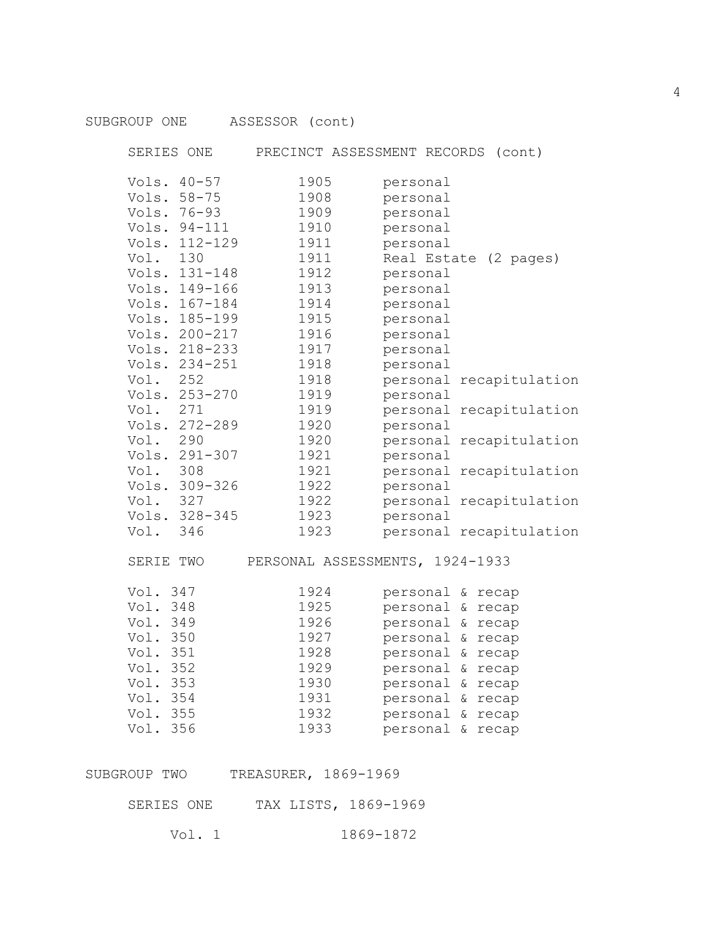| SUBGROUP ONE                                                                                                         | ASSESSOR (cont)                                                              |                                              |                                                                                                                                                                                                      |                                                    |
|----------------------------------------------------------------------------------------------------------------------|------------------------------------------------------------------------------|----------------------------------------------|------------------------------------------------------------------------------------------------------------------------------------------------------------------------------------------------------|----------------------------------------------------|
| SERIES ONE                                                                                                           |                                                                              | PRECINCT ASSESSMENT RECORDS (cont)           |                                                                                                                                                                                                      |                                                    |
| Vols. 40-57<br>Vols. 58-75<br>Vols. 76-93<br>Vols. 94-111                                                            | 1905<br>1908<br>1909<br>1910                                                 | personal<br>personal<br>personal<br>personal |                                                                                                                                                                                                      |                                                    |
| Vols. 112-129<br>Vol. 130<br>Vols. 131-148<br>Vols. 149-166                                                          | 1911<br>1911<br>1912<br>1913                                                 | personal<br>personal<br>personal             |                                                                                                                                                                                                      | Real Estate (2 pages)                              |
| Vols. 167-184<br>Vols. 185-199<br>Vols. 200-217<br>Vols. 218-233<br>Vols. 234-251                                    | 1914<br>1915<br>1916<br>1917                                                 | personal<br>personal<br>personal<br>personal |                                                                                                                                                                                                      |                                                    |
| Vol. 252<br>Vols. 253-270                                                                                            | 1918<br>1918<br>1919                                                         | personal<br>personal                         |                                                                                                                                                                                                      | personal recapitulation                            |
| Vol. 271<br>Vols. 272-289<br>Vol. 290                                                                                | 1919<br>1920<br>1920                                                         | personal                                     |                                                                                                                                                                                                      | personal recapitulation<br>personal recapitulation |
| Vols. 291-307<br>Vol. 308<br>Vols. 309-326                                                                           | 1921<br>1921<br>1922                                                         | personal<br>personal                         |                                                                                                                                                                                                      | personal recapitulation                            |
| Vol. 327<br>Vols. 328-345<br>Vol. 346                                                                                | 1922<br>1923<br>1923                                                         | personal                                     |                                                                                                                                                                                                      | personal recapitulation<br>personal recapitulation |
| SERIE TWO                                                                                                            |                                                                              | PERSONAL ASSESSMENTS, 1924-1933              |                                                                                                                                                                                                      |                                                    |
| Vol. 347<br>Vol. 348<br>Vol. 349<br>Vol. 350<br>Vol. 351<br>Vol. 352<br>Vol. 353<br>Vol. 354<br>Vol. 355<br>Vol. 356 | 1924<br>1925<br>1926<br>1927<br>1928<br>1929<br>1930<br>1931<br>1932<br>1933 |                                              | personal & recap<br>personal & recap<br>personal & recap<br>personal & recap<br>personal & recap<br>personal & recap<br>personal & recap<br>personal & recap<br>personal & recap<br>personal & recap |                                                    |
| SUBGROUP TWO                                                                                                         | TREASURER, 1869-1969                                                         |                                              |                                                                                                                                                                                                      |                                                    |

SERIES ONE TAX LISTS, 1869-1969

Vol. 1 1869-1872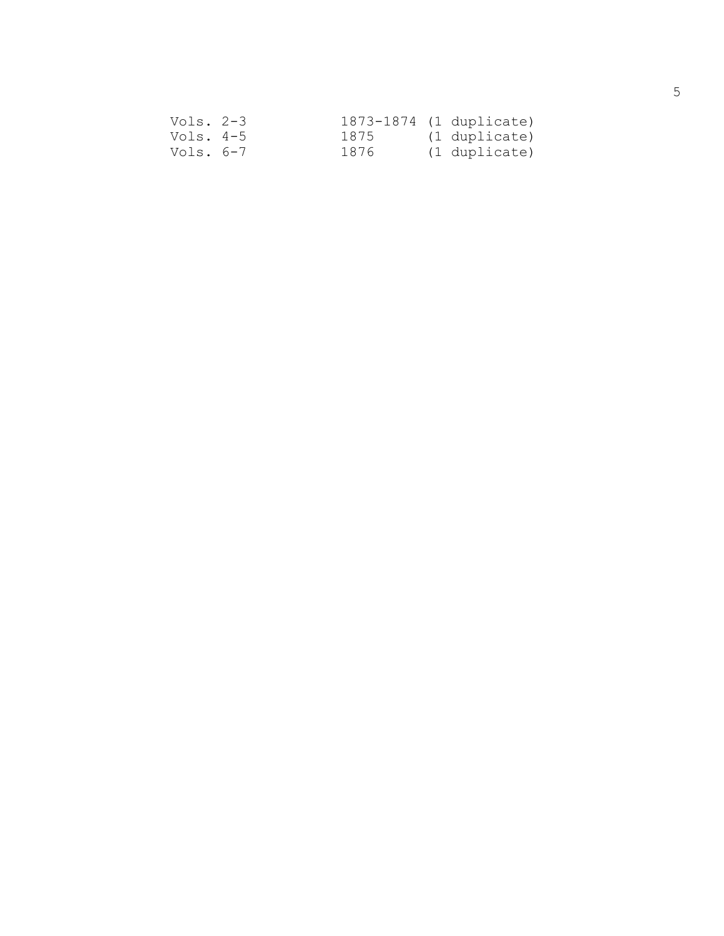| Vols. 2-3 |      | 1873-1874 (1 duplicate) |
|-----------|------|-------------------------|
| Vols. 4-5 | 1875 | (1 duplicate)           |
| Vols. 6-7 | 1876 | (1 duplicate)           |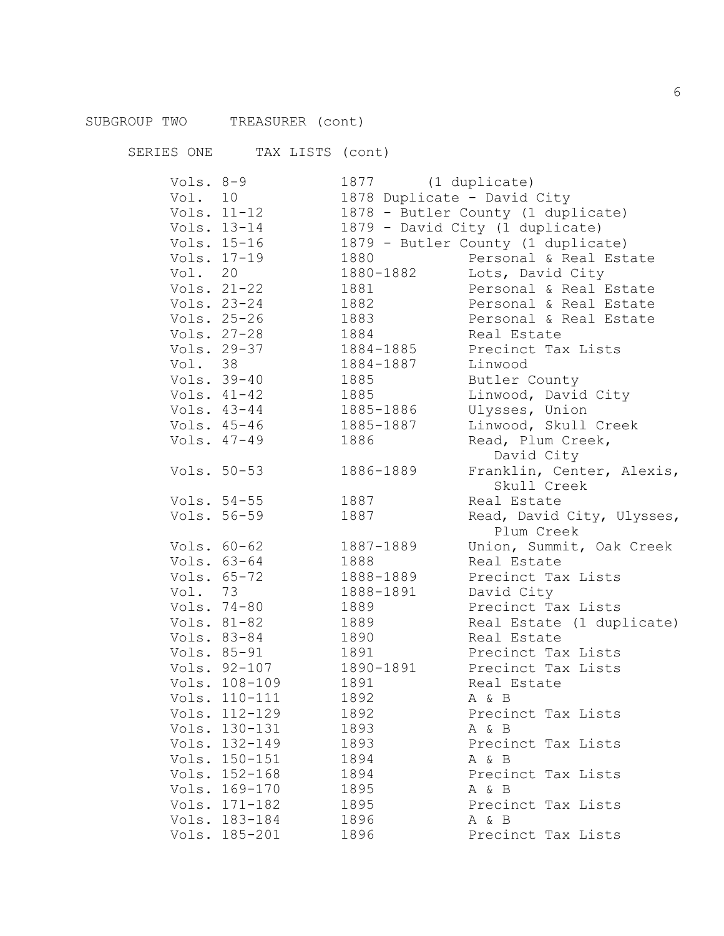SERIES ONE TAX LISTS (cont) Vols. 8-9 1877 (1 duplicate) Vol. 10 1878 Duplicate - David City Vols. 11-12 1878 - Butler County (1 duplicate) Vols. 13-14 1879 - David City (1 duplicate) Vols. 15-16 1879 - Butler County (1 duplicate) Vols. 17-19 1880 Personal & Real Estate Vol. 20 1880-1882 Lots, David City<br>Vols. 21-22 1881 Personal & Real I 1881 Personal & Real Estate Vols. 23-24 1882 Personal & Real Estate Vols. 25-26 1883 Personal & Real Estate Vols. 27-28 1884 Real Estate Vols. 29-37 1884-1885 Precinct Tax Lists Vol. 38 1884-1887 Linwood Vols. 39-40 1885 Butler County Vols. 41-42 1885 Linwood, David City<br>Vols. 43-44 1885-1886 Ulysses, Union 1885-1886 Ulysses, Union Vols. 45-46 1885-1887 Linwood, Skull Creek Vols. 47-49 1886 Read, Plum Creek, David City Vols. 50-53 1886-1889 Franklin, Center, Alexis, Skull Creek Vols. 54-55 1887 Real Estate Vols. 56-59 1887 Read, David City, Ulysses, Plum Creek Vols. 60-62 1887-1889 Union, Summit, Oak Creek Vols. 63-64 1888 Real Estate Vols. 65-72 1888-1889 Precinct Tax Lists Vol. 73 1888-1891 David City Vols. 74-80 1889 Precinct Tax Lists Vols. 81-82 1889 Real Estate (1 duplicate) Vols. 83-84 1890 Real Estate Vols. 85-91 1891 Precinct Tax Lists<br>Vols. 92-107 1890-1891 Precinct Tax Lists 1890-1891 Precinct Tax Lists Vols. 108-109 1891 Real Estate Vols. 110-111 1892 A & B Vols. 112-129 1892 Precinct Tax Lists Vols. 130-131 1893 A & B Vols. 132-149 1893 Precinct Tax Lists Vols. 150-151 1894 A & B<br>Vols. 152-168 1894 Preci 1894 **Precinct Tax Lists** Vols. 169-170 1895 A & B<br>Vols. 171-182 1895 Precis 1895 Precinct Tax Lists

Vols. 183-184 1896 A & B

Vols. 185-201 1896 Precinct Tax Lists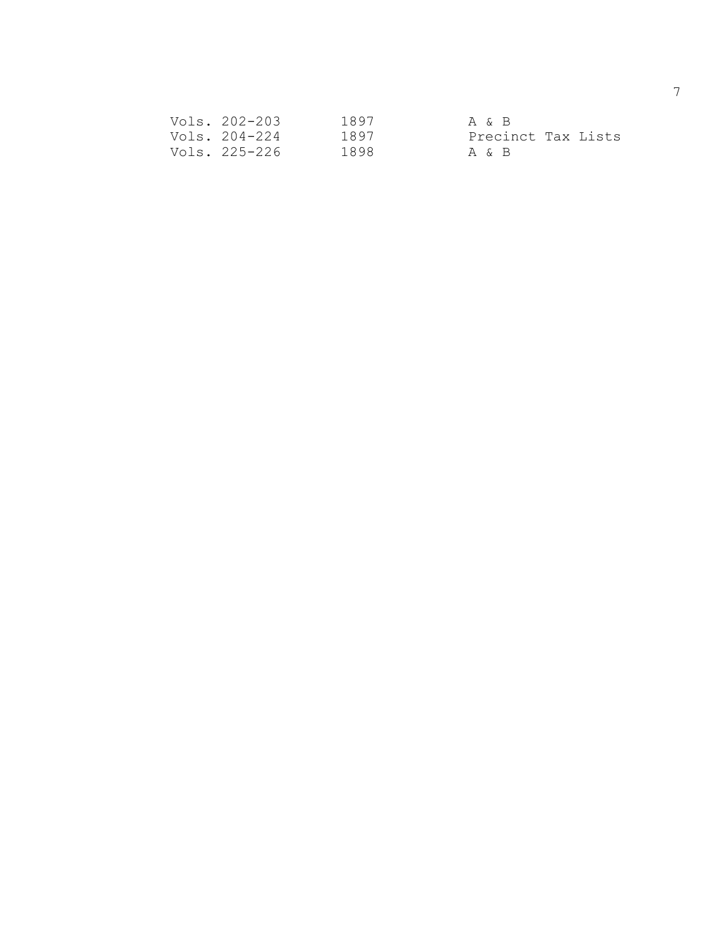| Vols. 202-203 | 1897 | A & B              |
|---------------|------|--------------------|
| Vols. 204-224 | 1897 | Precinct Tax Lists |
| Vols. 225-226 | 1898 | A & B              |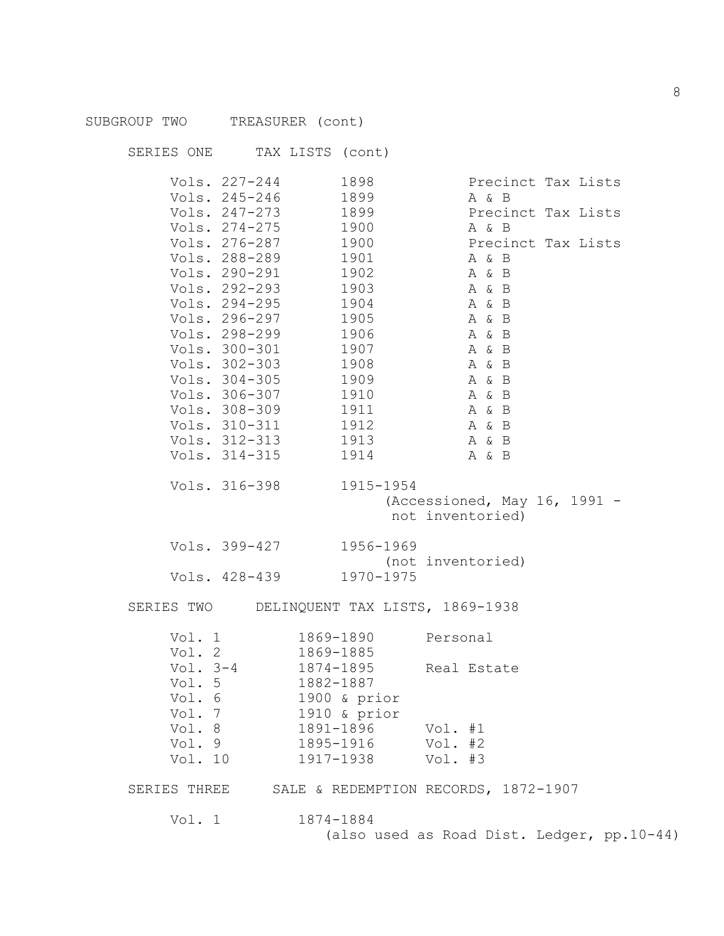| SUBGROUP TWO TREASURER (cont) |                                     |                                 |                                            |
|-------------------------------|-------------------------------------|---------------------------------|--------------------------------------------|
|                               | SERIES ONE TAX LISTS (cont)         |                                 |                                            |
|                               | Vols. 227-244                       | 1898                            | Precinct Tax Lists                         |
|                               | Vols. 245-246                       | 1899                            | A & B                                      |
|                               | Vols. 247-273 1899                  |                                 | Precinct Tax Lists                         |
|                               | Vols. 274-275 1900                  |                                 | A & B                                      |
|                               | Vols. 276-287 1900                  |                                 | Precinct Tax Lists                         |
|                               | Vols. 288-289 1901                  |                                 | A & B                                      |
|                               | Vols. 290-291 1902<br>Vols. 292-293 | 1903                            | A & B<br>A & B                             |
|                               | Vols. 294-295                       | 1904                            | A & B                                      |
|                               | Vols. 296-297 1905                  |                                 | A & B                                      |
|                               | Vols. 298-299 1906                  |                                 | A & B                                      |
|                               | Vols. 300-301 1907                  |                                 | A & B                                      |
|                               | Vols. 302-303 1908                  |                                 | A & B                                      |
|                               | Vols. 304-305 1909                  |                                 | A & B                                      |
|                               | Vols. 306-307 1910                  |                                 | A & B                                      |
|                               | Vols. 308-309                       | 1911                            | A & B                                      |
|                               | Vols. 310-311 1912                  |                                 | A & B                                      |
|                               | Vols. 312-313 1913                  |                                 | A & B                                      |
|                               | Vols. 314-315                       | 1914                            | A & B                                      |
|                               | Vols. 316-398 1915-1954             |                                 |                                            |
|                               |                                     |                                 | (Accessioned, May 16, 1991 -               |
|                               |                                     |                                 | not inventoried)                           |
|                               | Vols. 399-427 1956-1969             |                                 |                                            |
|                               |                                     |                                 | (not inventoried)                          |
|                               | Vols. 428-439 1970-1975             |                                 |                                            |
| SERIES TWO                    |                                     | DELINQUENT TAX LISTS, 1869-1938 |                                            |
| Vol. 1                        |                                     | 1869-1890                       | Personal                                   |
| Vol. $2$                      |                                     | 1869-1885                       |                                            |
|                               | Vol. $3-4$                          | 1874-1895                       | Real Estate                                |
| Vol. 5                        |                                     | 1882-1887                       |                                            |
| Vol. 6                        |                                     | 1900 & prior                    |                                            |
| Vol. 7                        |                                     | 1910 & prior                    |                                            |
| Vol. 8                        |                                     | 1891-1896                       | Vol. $#1$                                  |
| Vol. 9                        |                                     | 1895-1916                       | Vol. #2                                    |
| Vol. 10                       |                                     | 1917-1938                       | Vol. #3                                    |
| SERIES THREE                  |                                     |                                 | SALE & REDEMPTION RECORDS, 1872-1907       |
| Vol. 1                        |                                     | 1874-1884                       |                                            |
|                               |                                     |                                 | (also used as Road Dist. Ledger, pp.10-44) |
|                               |                                     |                                 |                                            |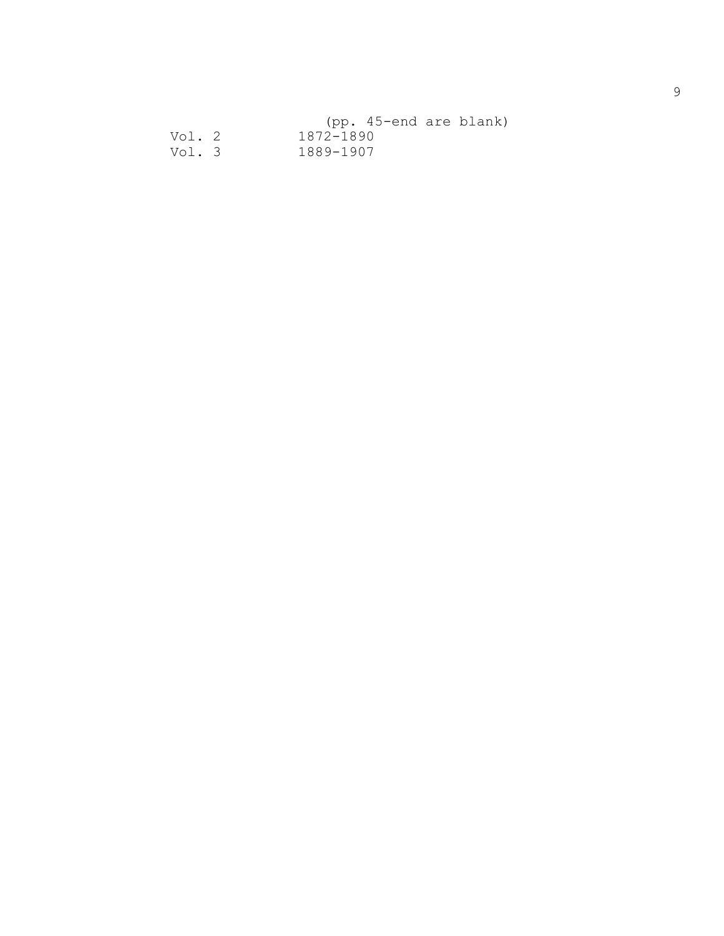|        |           | (pp. 45-end are blank) |  |
|--------|-----------|------------------------|--|
| Vol. 2 | 1872-1890 |                        |  |
| Vol. 3 | 1889-1907 |                        |  |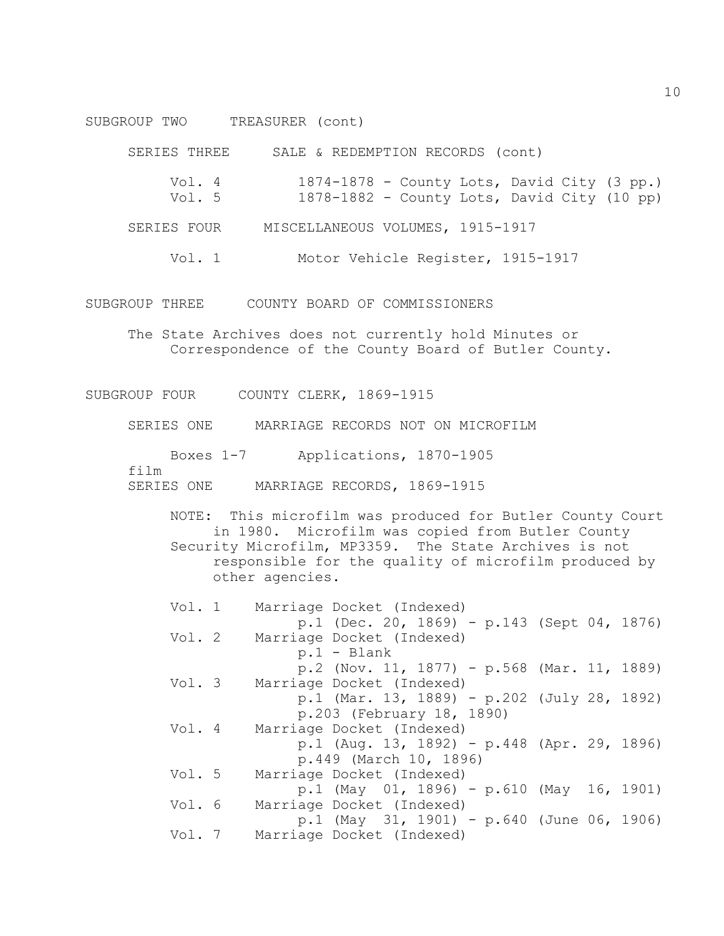SUBGROUP TWO TREASURER (cont)

SERIES THREE SALE & REDEMPTION RECORDS (cont)

- Vol. 4 1874-1878 County Lots, David City (3 pp.)
- Vol. 5 1878-1882 County Lots, David City (10 pp)
- SERIES FOUR MISCELLANEOUS VOLUMES, 1915-1917
	- Vol. 1 Motor Vehicle Register, 1915-1917

SUBGROUP THREE COUNTY BOARD OF COMMISSIONERS

The State Archives does not currently hold Minutes or Correspondence of the County Board of Butler County.

SUBGROUP FOUR COUNTY CLERK, 1869-1915

SERIES ONE MARRIAGE RECORDS NOT ON MICROFILM

Boxes 1-7 Applications, 1870-1905

film

```
SERIES ONE MARRIAGE RECORDS, 1869-1915
```
NOTE: This microfilm was produced for Butler County Court in 1980. Microfilm was copied from Butler County Security Microfilm, MP3359. The State Archives is not responsible for the quality of microfilm produced by other agencies.

| Vol. 1 | Marriage Docket (Indexed)                   |  |
|--------|---------------------------------------------|--|
|        | p.1 (Dec. 20, 1869) - p.143 (Sept 04, 1876) |  |
| Vol. 2 | Marriage Docket (Indexed)                   |  |
|        | $p.1 - Blank$                               |  |
|        | p.2 (Nov. 11, 1877) - p.568 (Mar. 11, 1889) |  |
| Vol. 3 | Marriage Docket (Indexed)                   |  |
|        | p.1 (Mar. 13, 1889) - p.202 (July 28, 1892) |  |
|        | p.203 (February 18, 1890)                   |  |
| Vol. 4 | Marriage Docket (Indexed)                   |  |
|        | p.1 (Aug. 13, 1892) - p.448 (Apr. 29, 1896) |  |
|        | p.449 (March 10, 1896)                      |  |
| Vol. 5 | Marriage Docket (Indexed)                   |  |
|        | p.1 (May 01, 1896) - p.610 (May 16, 1901)   |  |
| Vol. 6 | Marriage Docket (Indexed)                   |  |
|        | p.1 (May 31, 1901) - p.640 (June 06, 1906)  |  |
| Vol. 7 | Marriage Docket (Indexed)                   |  |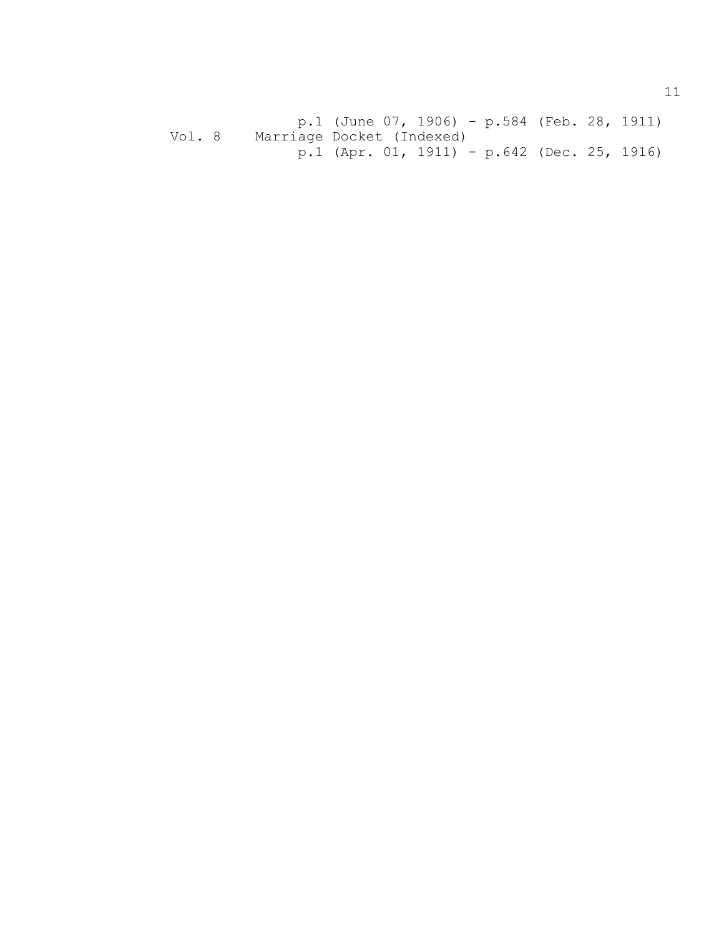p.1 (June 07, 1906) - p.584 (Feb. 28, 1911) Vol. 8 Marriage Docket (Indexed) p.1 (Apr. 01, 1911) - p.642 (Dec. 25, 1916)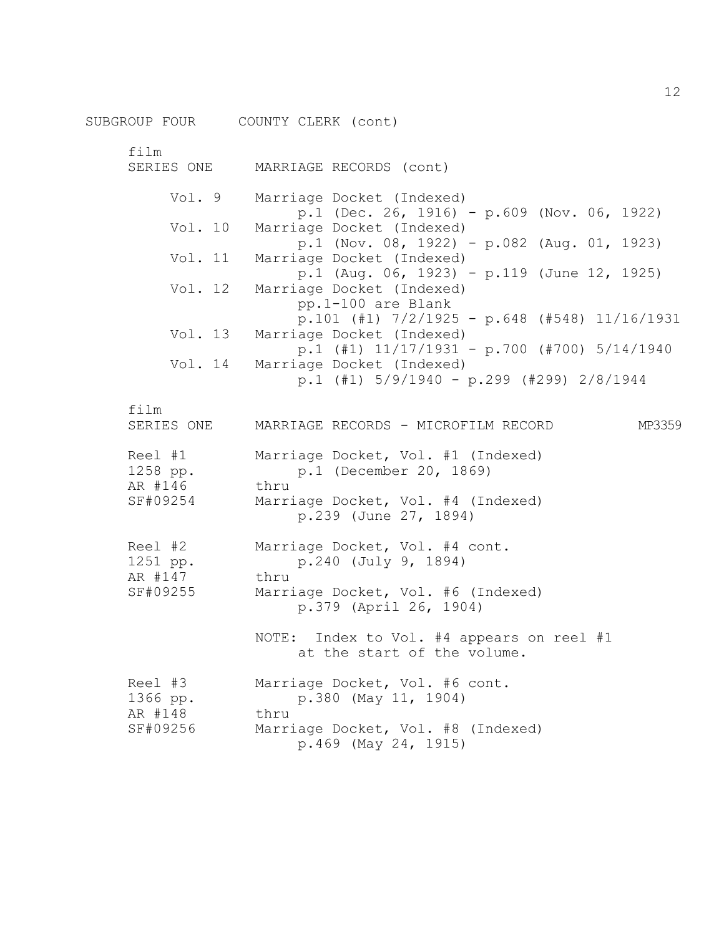SUBGROUP FOUR COUNTY CLERK (cont)

film SERIES ONE MARRIAGE RECORDS (cont) Vol. 9 Marriage Docket (Indexed) p.1 (Dec. 26, 1916) - p.609 (Nov. 06, 1922) Vol. 10 Marriage Docket (Indexed) p.1 (Nov. 08, 1922) - p.082 (Aug. 01, 1923) Vol. 11 Marriage Docket (Indexed) p.1 (Aug. 06, 1923) - p.119 (June 12, 1925) Vol. 12 Marriage Docket (Indexed) pp.1-100 are Blank p.101 (#1) 7/2/1925 - p.648 (#548) 11/16/1931 Vol. 13 Marriage Docket (Indexed) p.1 (#1) 11/17/1931 - p.700 (#700) 5/14/1940 Vol. 14 Marriage Docket (Indexed) p.1 (#1) 5/9/1940 - p.299 (#299) 2/8/1944 film SERIES ONE MARRIAGE RECORDS - MICROFILM RECORD MP3359 Reel #1 Marriage Docket, Vol. #1 (Indexed) 1258 pp. **p.1** (December 20, 1869) AR #146 thru SF#09254 Marriage Docket, Vol. #4 (Indexed) p.239 (June 27, 1894) Reel #2 Marriage Docket, Vol. #4 cont. 1251 pp. **p.240** (July 9, 1894) AR #147 thru SF#09255 Marriage Docket, Vol. #6 (Indexed) p.379 (April 26, 1904) NOTE: Index to Vol. #4 appears on reel #1 at the start of the volume. Reel #3 Marriage Docket, Vol. #6 cont. 1366 pp. p.380 (May 11, 1904) AR #148 thru SF#09256 Marriage Docket, Vol. #8 (Indexed) p.469 (May 24, 1915)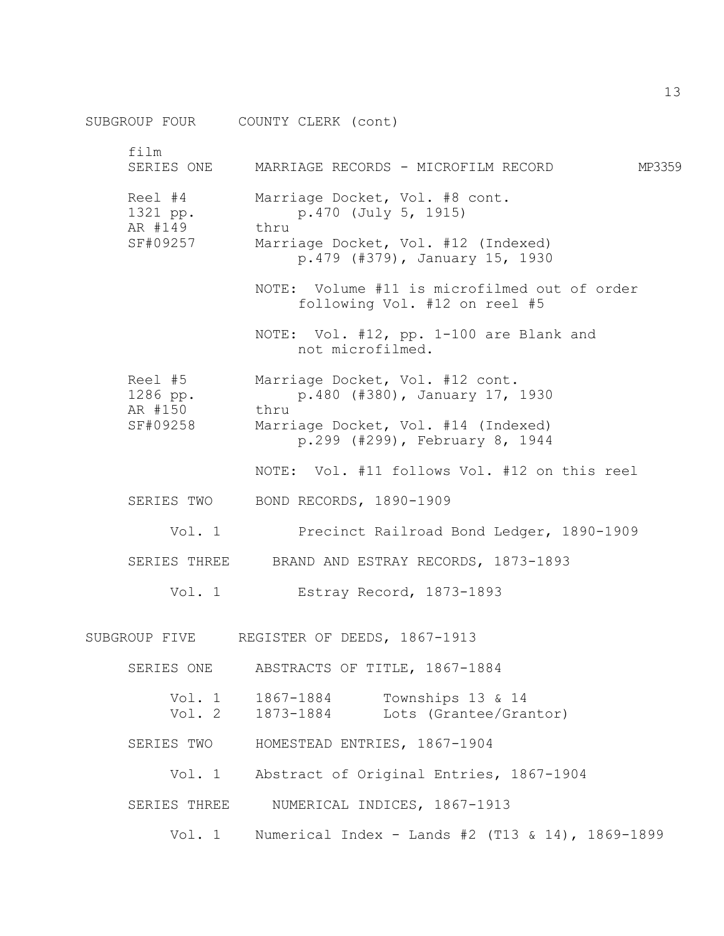|                                            | SUBGROUP FOUR COUNTY CLERK (cont)                                                                                                       |        |
|--------------------------------------------|-----------------------------------------------------------------------------------------------------------------------------------------|--------|
| film<br>SERIES ONE                         | MARRIAGE RECORDS - MICROFILM RECORD                                                                                                     | MP3359 |
| Reel #4<br>1321 pp.<br>AR #149<br>SF#09257 | Marriage Docket, Vol. #8 cont.<br>p.470 (July 5, 1915)<br>thru<br>Marriage Docket, Vol. #12 (Indexed)<br>p.479 (#379), January 15, 1930 |        |
|                                            | NOTE: Volume #11 is microfilmed out of order<br>following Vol. #12 on reel #5                                                           |        |
|                                            | NOTE: Vol. #12, pp. 1-100 are Blank and<br>not microfilmed.                                                                             |        |
| Reel #5<br>1286 pp.<br>AR #150             | Marriage Docket, Vol. #12 cont.<br>p.480 (#380), January 17, 1930<br>thru                                                               |        |
| SF#09258                                   | Marriage Docket, Vol. #14 (Indexed)<br>p.299 (#299), February 8, 1944                                                                   |        |
|                                            | NOTE: Vol. #11 follows Vol. #12 on this reel                                                                                            |        |
| SERIES TWO                                 | BOND RECORDS, 1890-1909                                                                                                                 |        |
| Vol. 1                                     | Precinct Railroad Bond Ledger, 1890-1909                                                                                                |        |
|                                            | SERIES THREE BRAND AND ESTRAY RECORDS, 1873-1893                                                                                        |        |
| Vol. 1                                     | Estray Record, 1873-1893                                                                                                                |        |
| SUBGROUP FIVE                              | REGISTER OF DEEDS, 1867-1913                                                                                                            |        |
|                                            | SERIES ONE ABSTRACTS OF TITLE, 1867-1884                                                                                                |        |
|                                            | Vol. 1 1867-1884<br>Townships 13 & 14<br>Vol. 2 1873-1884 Lots (Grantee/Grantor)                                                        |        |
| SERIES TWO                                 | HOMESTEAD ENTRIES, 1867-1904                                                                                                            |        |
| Vol. $1$                                   | Abstract of Original Entries, 1867-1904                                                                                                 |        |
| SERIES THREE                               | NUMERICAL INDICES, 1867-1913                                                                                                            |        |
|                                            | Vol. 1 Numerical Index - Lands #2 (T13 & 14), 1869-1899                                                                                 |        |

13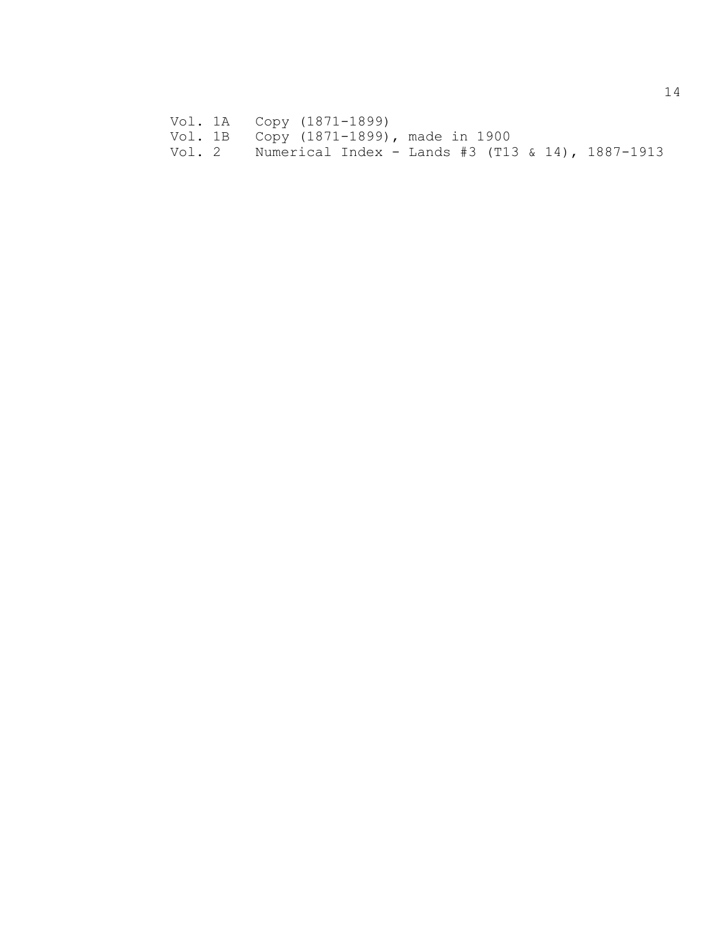- Vol. 1A Copy (1871-1899)
- Vol. 1B Copy (1871-1899), made in 1900
- Vol. 2 Numerical Index Lands #3 (T13 & 14), 1887-1913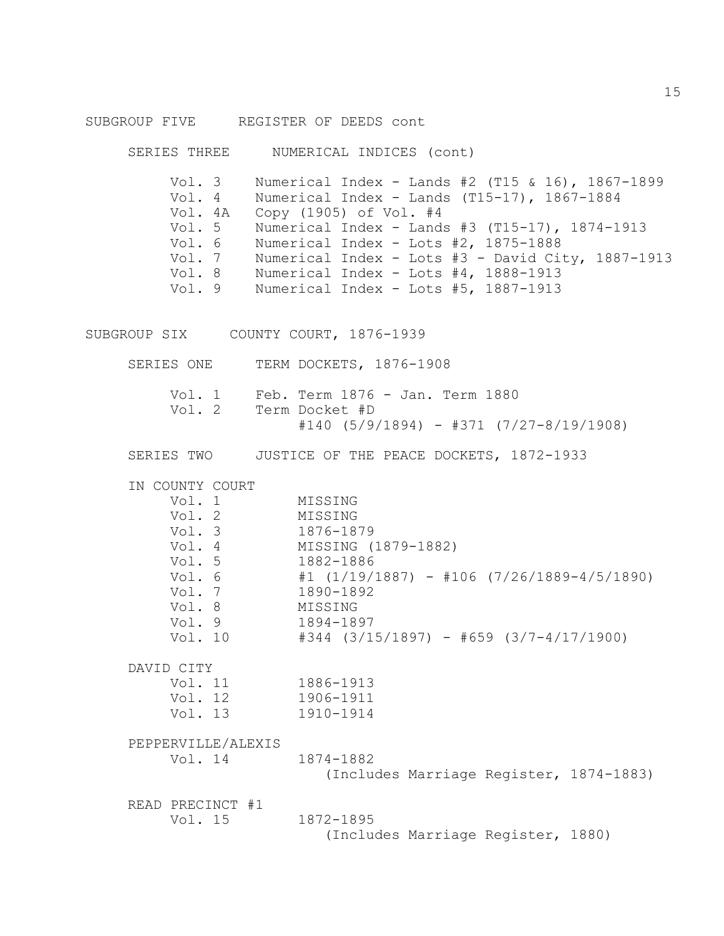### SUBGROUP FIVE REGISTER OF DEEDS cont

SERIES THREE NUMERICAL INDICES (cont)

Vol. 3 Numerical Index - Lands #2 (T15 & 16), 1867-1899 Vol. 4 Numerical Index - Lands (T15-17), 1867-1884 Vol. 4A Copy (1905) of Vol. #4 Vol. 5 Numerical Index - Lands #3 (T15-17), 1874-1913 Vol. 6 Numerical Index - Lots #2, 1875-1888 Vol. 7 Numerical Index - Lots #3 - David City, 1887-1913 Vol. 8 Numerical Index - Lots #4, 1888-1913 Vol. 9 Numerical Index - Lots #5, 1887-1913

SUBGROUP SIX COUNTY COURT, 1876-1939

SERIES ONE TERM DOCKETS, 1876-1908

|  | Vol. 1 Feb. Term 1876 - Jan. Term 1880    |
|--|-------------------------------------------|
|  | Vol. 2 Term Docket #D                     |
|  | $#140$ (5/9/1894) - #371 (7/27-8/19/1908) |

SERIES TWO JUSTICE OF THE PEACE DOCKETS, 1872-1933

IN COUNTY COURT

| Vol. 1  | MISSING                                       |
|---------|-----------------------------------------------|
| Vol. 2  | MISSING                                       |
| Vol. 3  | 1876-1879                                     |
| Vol. 4  | MISSING (1879-1882)                           |
| Vol. 5  | 1882-1886                                     |
| Vol. 6  | $#1$ (1/19/1887) - #106 (7/26/1889-4/5/1890)  |
| Vol. 7  | 1890-1892                                     |
| Vol. 8  | MISSING                                       |
| Vol. 9  | 1894-1897                                     |
| Vol. 10 | $\#344$ (3/15/1897) - $\#659$ (3/7-4/17/1900) |
| DAVTD   |                                               |

Vol. 11 1886-1913

| Vol. 12 | 1906-1911 |
|---------|-----------|
| Vol. 13 | 1910-1914 |

PEPPERVILLE/ALEXIS

Vol. 14 1874-1882 (Includes Marriage Register, 1874-1883)

READ PRECINCT #1 Vol. 15 1872-1895

(Includes Marriage Register, 1880)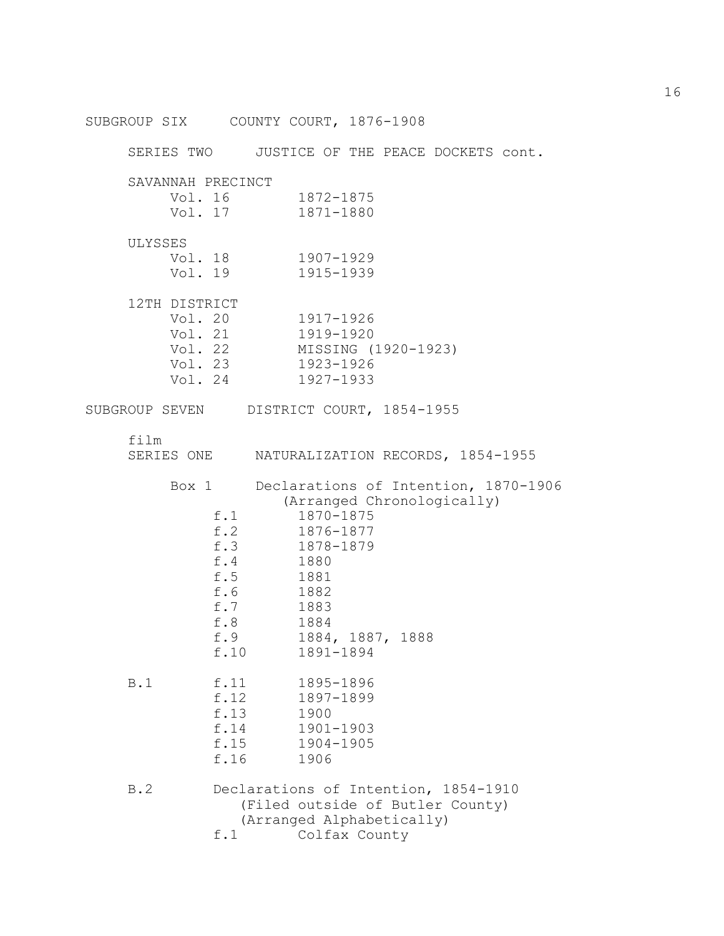SUBGROUP SIX COUNTY COURT, 1876-1908 SERIES TWO JUSTICE OF THE PEACE DOCKETS cont. SAVANNAH PRECINCT Vol. 16 1872-1875 Vol. 17 1871-1880 ULYSSES Vol. 18 1907-1929 Vol. 19 1915-1939 12TH DISTRICT Vol. 20 1917-1926 Vol. 21 1919-1920 Vol. 22 MISSING (1920-1923) Vol. 23 1923-1926 Vol. 24 1927-1933 SUBGROUP SEVEN DISTRICT COURT, 1854-1955 film SERIES ONE NATURALIZATION RECORDS, 1854-1955 Box 1 Declarations of Intention, 1870-1906 (Arranged Chronologically) f.1 1870-1875 f.2 1876-1877 f.3 1878-1879<br>f.4 1880 f.4 1880 f.5 1881 f.6 1882 f.7 1883 f.8 1884 f.9 1884, 1887, 1888 f.10 1891-1894 B.1 f.11 1895-1896 f.12 1897-1899 f.13 1900 f.14 1901-1903 f.15 1904-1905 f.16 1906 B.2 Declarations of Intention, 1854-1910 (Filed outside of Butler County) (Arranged Alphabetically) f.1 Colfax County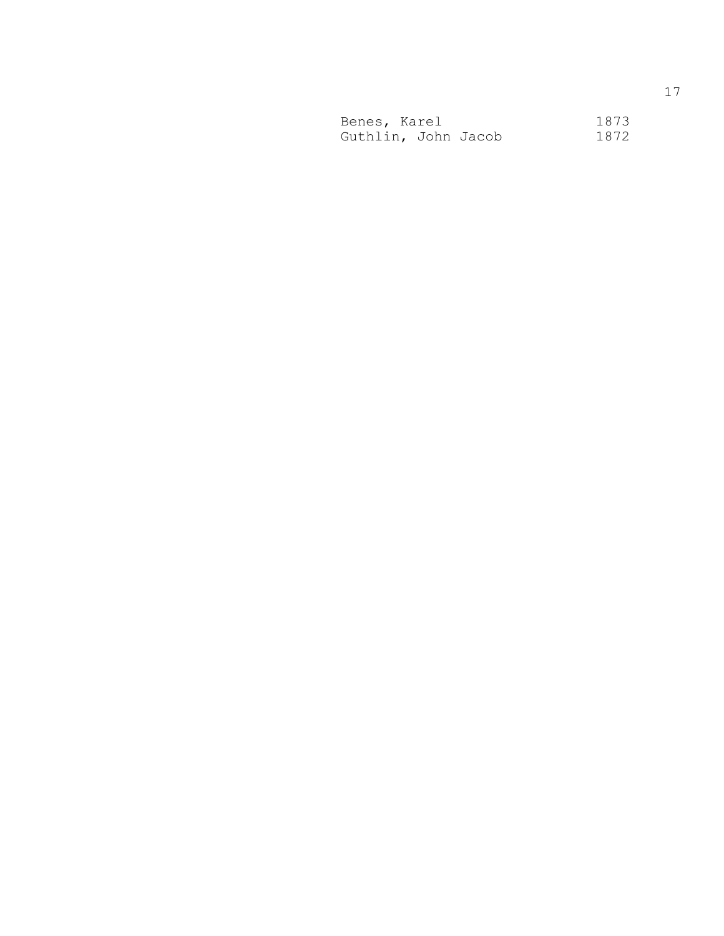| Benes, Karel        |  | 1873 |
|---------------------|--|------|
| Guthlin, John Jacob |  | 1872 |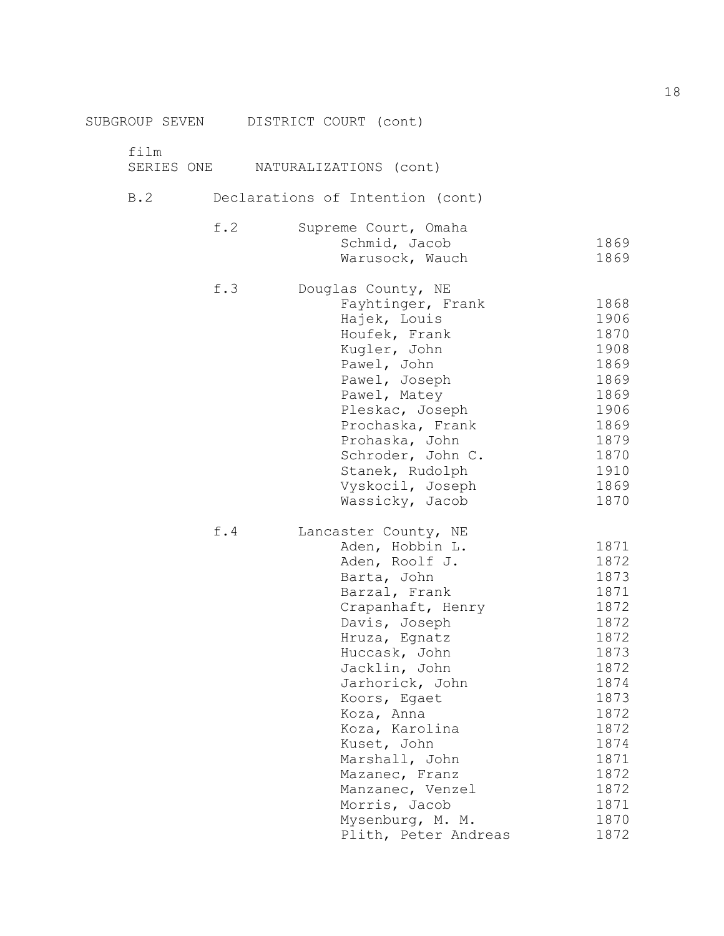|      | SUBGROUP SEVEN DISTRICT COURT (cont) |              |
|------|--------------------------------------|--------------|
| film |                                      |              |
|      | SERIES ONE NATURALIZATIONS (cont)    |              |
| B.2  | Declarations of Intention (cont)     |              |
| f.2  | Supreme Court, Omaha                 |              |
|      | Schmid, Jacob                        | 1869         |
|      | Warusock, Wauch                      | 1869         |
| f.3  | Douglas County, NE                   |              |
|      | Fayhtinger, Frank                    | 1868         |
|      | Hajek, Louis                         | 1906         |
|      | Houfek, Frank                        | 1870         |
|      | Kugler, John                         | 1908         |
|      | Pawel, John<br>Pawel, Joseph         | 1869<br>1869 |
|      | Pawel, Matey                         | 1869         |
|      | Pleskac, Joseph                      | 1906         |
|      | Prochaska, Frank                     | 1869         |
|      | Prohaska, John                       | 1879         |
|      | Schroder, John C.                    | 1870         |
|      | Stanek, Rudolph                      | 1910         |
|      | Vyskocil, Joseph                     | 1869         |
|      | Wassicky, Jacob                      | 1870         |
| f.4  | Lancaster County, NE                 |              |
|      | Aden, Hobbin L.                      | 1871         |
|      | Aden, Roolf J.                       | 1872         |
|      | Barta, John                          | 1873         |
|      | Barzal, Frank                        | 1871         |
|      | Crapanhaft, Henry                    | 1872         |
|      | Davis, Joseph                        | 1872         |
|      | Hruza, Egnatz                        | 1872         |
|      | Huccask, John                        | 1873         |
|      | Jacklin, John                        | 1872         |
|      | Jarhorick, John                      | 1874         |
|      | Koors, Egaet<br>Koza, Anna           | 1873<br>1872 |
|      | Koza, Karolina                       | 1872         |
|      | Kuset, John                          | 1874         |
|      | Marshall, John                       | 1871         |
|      | Mazanec, Franz                       | 1872         |
|      | Manzanec, Venzel                     | 1872         |
|      | Morris, Jacob                        | 1871         |
|      | Mysenburg, M. M.                     | 1870         |
|      | Plith, Peter Andreas                 | 1872         |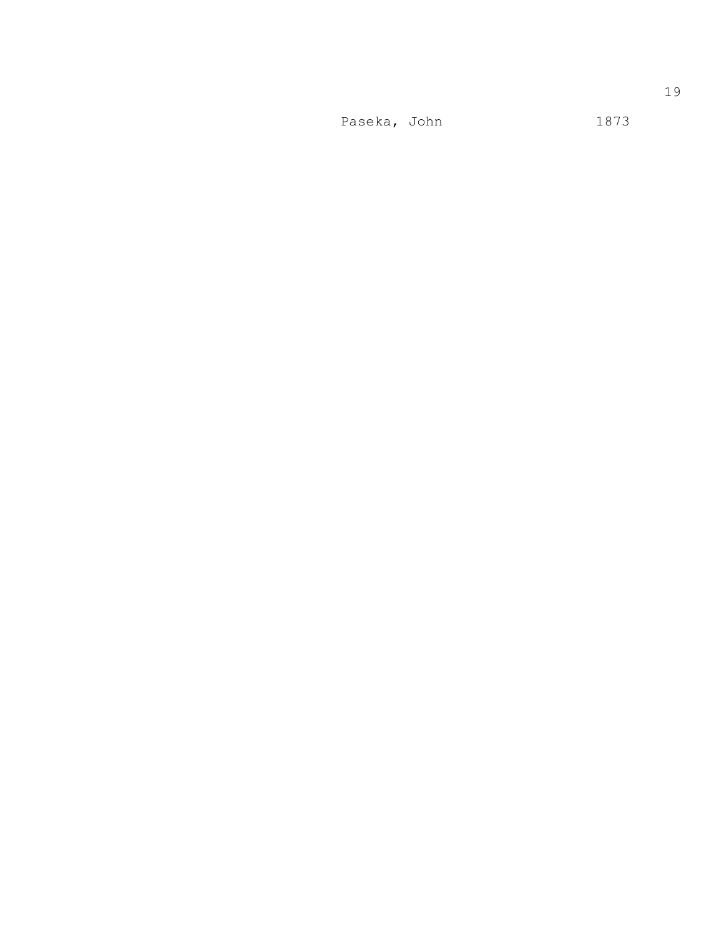Paseka, John 1873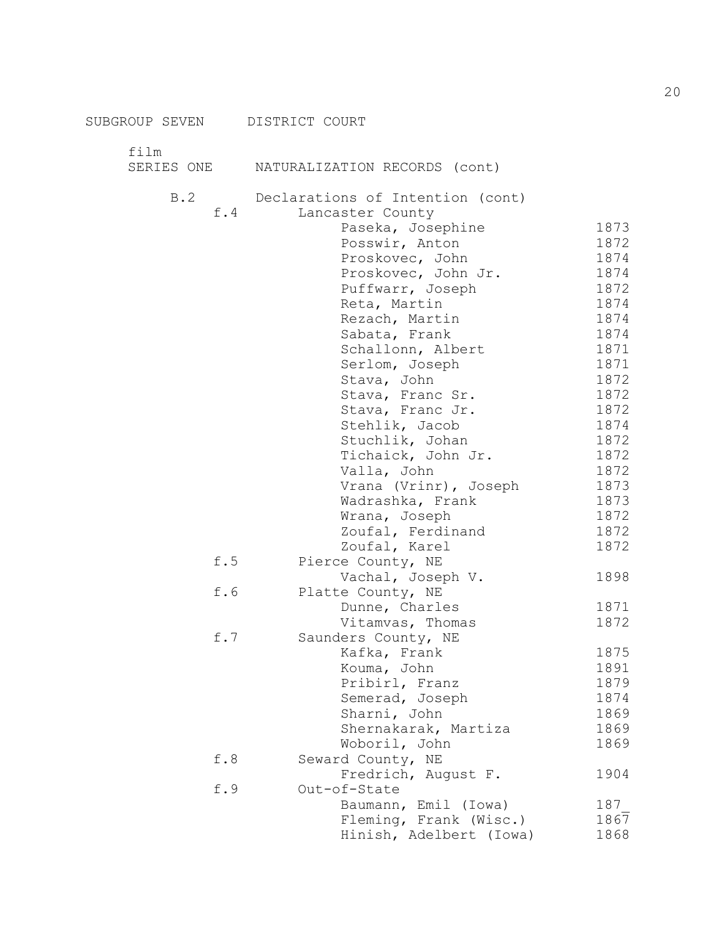film

| ᆂᆂᆂ |     | SERIES ONE MATURALIZATION RECORDS (cont)                                                                                                                                                                                                                                                                                                                                                                                                                                                        |
|-----|-----|-------------------------------------------------------------------------------------------------------------------------------------------------------------------------------------------------------------------------------------------------------------------------------------------------------------------------------------------------------------------------------------------------------------------------------------------------------------------------------------------------|
|     | B.2 | Declarations of Intention (cont)<br>f.4<br>Lancaster County<br>Paseka, Josephine<br>Posswir, Anton<br>Proskovec, John<br>Proskovec, John Jr.<br>Puffwarr, Joseph<br>Reta, Martin<br>Rezach, Martin<br>Sabata, Frank<br>Schallonn, Albert<br>Serlom, Joseph<br>Stava, John<br>Stava, Franc Sr.<br>Stava, Franc Jr.<br>Stehlik, Jacob<br>Stuchlik, Johan<br>Tichaick, John Jr.<br>Valla, John<br>Vrana (Vrinr), Joseph<br>Wadrashka, Frank<br>Wrana, Joseph<br>Zoufal, Ferdinand<br>Zoufal, Karel |

|     | Vrana (Vrinr), Joseph   | 1873 |
|-----|-------------------------|------|
|     | Wadrashka, Frank        | 1873 |
|     | Wrana, Joseph           | 1872 |
|     | Zoufal, Ferdinand       | 1872 |
|     | Zoufal, Karel           | 1872 |
| f.5 | Pierce County, NE       |      |
|     | Vachal, Joseph V.       | 1898 |
| f.6 | Platte County, NE       |      |
|     | Dunne, Charles          | 1871 |
|     | Vitamvas, Thomas        | 1872 |
| f.7 | Saunders County, NE     |      |
|     | Kafka, Frank            | 1875 |
|     | Kouma, John             | 1891 |
|     | Pribirl, Franz          | 1879 |
|     | Semerad, Joseph         | 1874 |
|     | Sharni, John            | 1869 |
|     | Shernakarak, Martiza    | 1869 |
|     | Woboril, John           | 1869 |
| f.8 | Seward County, NE       |      |
|     | Fredrich, August F.     | 1904 |
| f.9 | Out-of-State            |      |
|     | Baumann, Emil (Iowa)    | 187  |
|     | Fleming, Frank (Wisc.)  | 1867 |
|     | Hinish, Adelbert (Iowa) | 1868 |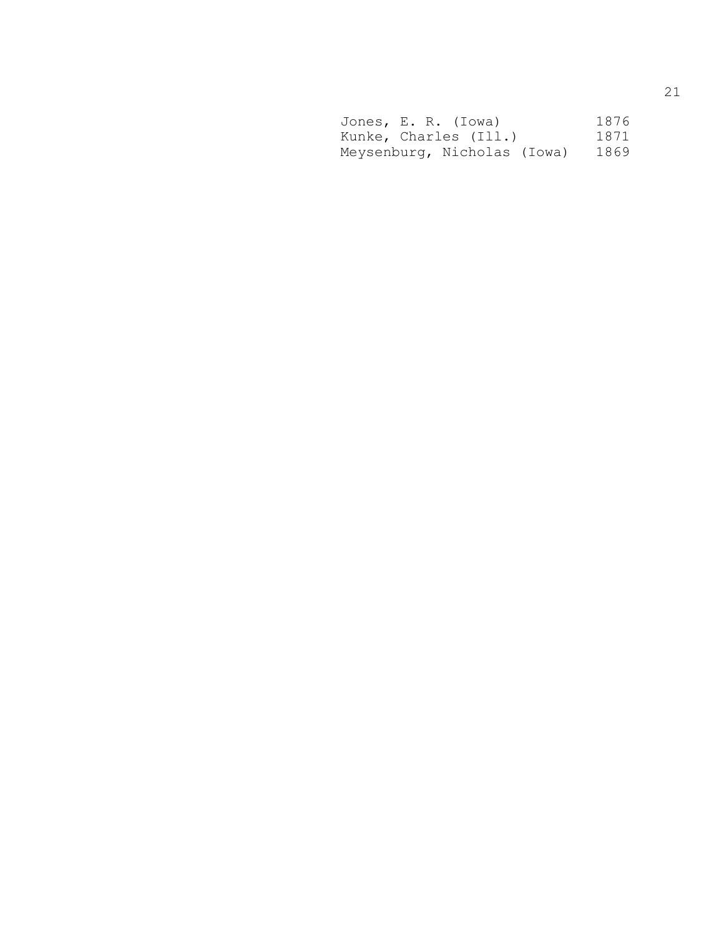| Jones, E. R. (Iowa)         |  |  |  | 1876 |
|-----------------------------|--|--|--|------|
| Kunke, Charles (Ill.)       |  |  |  | 1871 |
| Meysenburg, Nicholas (Iowa) |  |  |  | 1869 |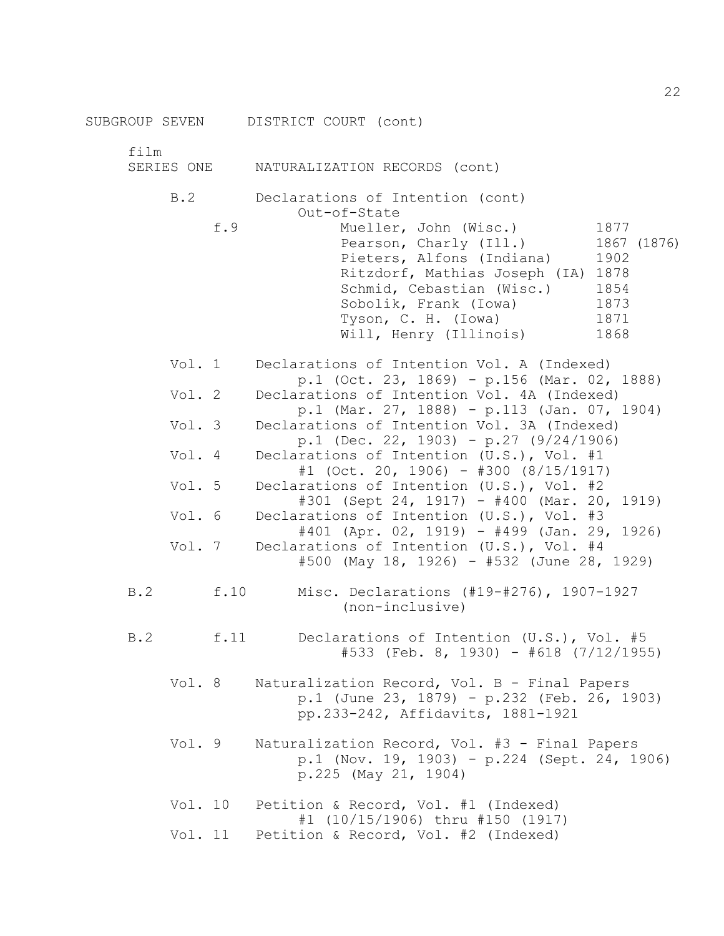film

| SERIES ONE |  | NATURALIZATION RECORDS (cont) |  |  |
|------------|--|-------------------------------|--|--|
|------------|--|-------------------------------|--|--|

B.2 Declarations of Intention (cont) Out-of-State

| f.9 | Mueller, John (Wisc.)         | 1877        |
|-----|-------------------------------|-------------|
|     | Pearson, Charly (Ill.)        | 1867 (1876) |
|     | Pieters, Alfons (Indiana)     | 1902        |
|     | Ritzdorf, Mathias Joseph (IA) | 1878        |
|     | Schmid, Cebastian (Wisc.)     | 1854        |
|     | Sobolik, Frank (Iowa)         | 1873        |
|     | Tyson, C. H. (Iowa)           | 1871        |
|     | Will, Henry (Illinois)        | 1868        |

- Vol. 1 Declarations of Intention Vol. A (Indexed) p.1 (Oct. 23, 1869) - p.156 (Mar. 02, 1888) Vol. 2 Declarations of Intention Vol. 4A (Indexed) p.1 (Mar. 27, 1888) - p.113 (Jan. 07, 1904) Vol. 3 Declarations of Intention Vol. 3A (Indexed) p.1 (Dec. 22, 1903) - p.27 (9/24/1906) Vol. 4 Declarations of Intention (U.S.), Vol. #1 #1 (Oct. 20, 1906) - #300 (8/15/1917) Vol. 5 Declarations of Intention (U.S.), Vol. #2 #301 (Sept 24, 1917) - #400 (Mar. 20, 1919) Vol. 6 Declarations of Intention (U.S.), Vol. #3
- #401 (Apr. 02, 1919) #499 (Jan. 29, 1926) Vol. 7 Declarations of Intention (U.S.), Vol. #4 #500 (May 18, 1926) - #532 (June 28, 1929)
- B.2 f.10 Misc. Declarations (#19-#276), 1907-1927 (non-inclusive)
- B.2 f.11 Declarations of Intention (U.S.), Vol. #5  $#533$  (Feb. 8, 1930) -  $#618$  (7/12/1955)
	- Vol. 8 Naturalization Record, Vol. B Final Papers p.1 (June 23, 1879) - p.232 (Feb. 26, 1903) pp.233-242, Affidavits, 1881-1921
	- Vol. 9 Naturalization Record, Vol. #3 Final Papers p.1 (Nov. 19, 1903) - p.224 (Sept. 24, 1906) p.225 (May 21, 1904)
	- Vol. 10 Petition & Record, Vol. #1 (Indexed) #1 (10/15/1906) thru #150 (1917) Vol. 11 Petition & Record, Vol. #2 (Indexed)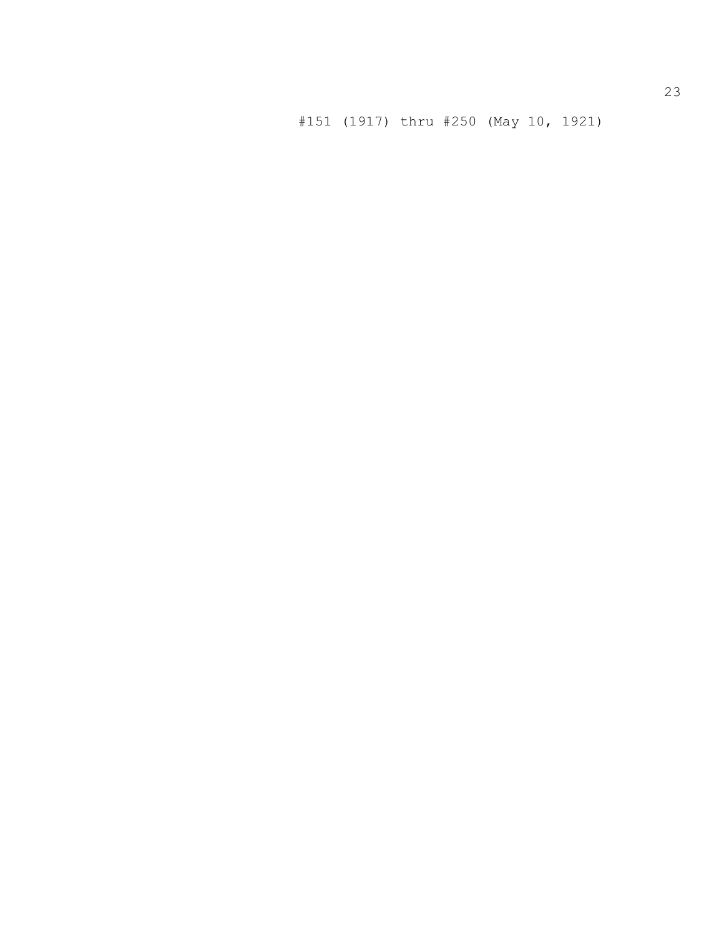#151 (1917) thru #250 (May 10, 1921)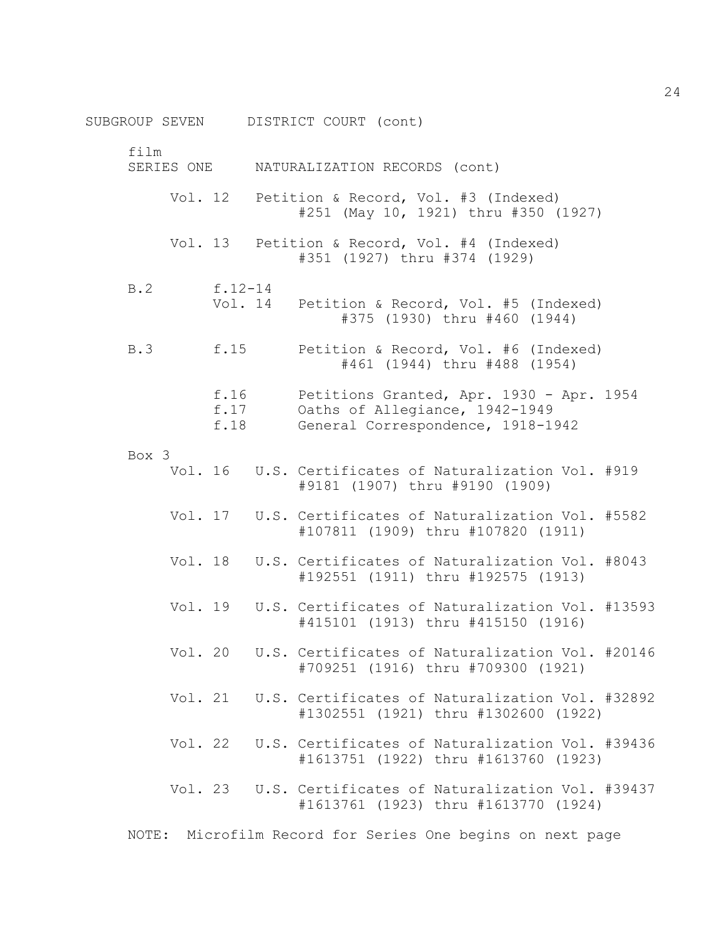SUBGROUP SEVEN DISTRICT COURT (cont) film SERIES ONE NATURALIZATION RECORDS (cont) Vol. 12 Petition & Record, Vol. #3 (Indexed) #251 (May 10, 1921) thru #350 (1927) Vol. 13 Petition & Record, Vol. #4 (Indexed) #351 (1927) thru #374 (1929) B.2 f.12-14 Vol. 14 Petition & Record, Vol. #5 (Indexed) #375 (1930) thru #460 (1944) B.3 f.15 Petition & Record, Vol. #6 (Indexed) #461 (1944) thru #488 (1954) f.16 Petitions Granted, Apr. 1930 - Apr. 1954 f.17 Oaths of Allegiance, 1942-1949 f.18 General Correspondence, 1918-1942 Box 3 Vol. 16 U.S. Certificates of Naturalization Vol. #919 #9181 (1907) thru #9190 (1909) Vol. 17 U.S. Certificates of Naturalization Vol. #5582 #107811 (1909) thru #107820 (1911) Vol. 18 U.S. Certificates of Naturalization Vol. #8043 #192551 (1911) thru #192575 (1913) Vol. 19 U.S. Certificates of Naturalization Vol. #13593 #415101 (1913) thru #415150 (1916) Vol. 20 U.S. Certificates of Naturalization Vol. #20146 #709251 (1916) thru #709300 (1921) Vol. 21 U.S. Certificates of Naturalization Vol. #32892 #1302551 (1921) thru #1302600 (1922) Vol. 22 U.S. Certificates of Naturalization Vol. #39436 #1613751 (1922) thru #1613760 (1923) Vol. 23 U.S. Certificates of Naturalization Vol. #39437 #1613761 (1923) thru #1613770 (1924) NOTE: Microfilm Record for Series One begins on next page

24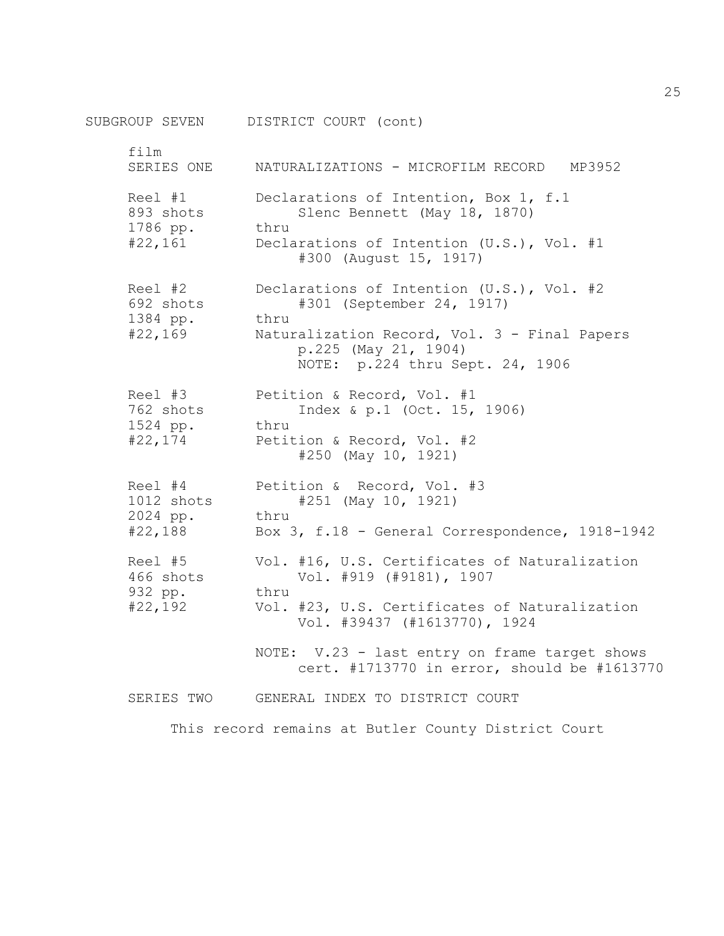SUBGROUP SEVEN DISTRICT COURT (cont) film SERIES ONE MATURALIZATIONS - MICROFILM RECORD MP3952 Reel #1 Declarations of Intention, Box 1, f.1 893 shots Slenc Bennett (May 18, 1870) 1786 pp. thru #22,161 Declarations of Intention (U.S.), Vol. #1 #300 (August 15, 1917) Reel #2 Declarations of Intention (U.S.), Vol. #2 692 shots #301 (September 24, 1917) 1384 pp. thru #22,169 Naturalization Record, Vol. 3 - Final Papers p.225 (May 21, 1904) NOTE: p.224 thru Sept. 24, 1906 Reel #3 Petition & Record, Vol. #1 762 shots Index & p.1 (Oct. 15, 1906) 1524 pp. thru #22,174 Petition & Record, Vol. #2 #250 (May 10, 1921) Reel #4 Petition & Record, Vol. #3 1012 shots #251 (May 10, 1921) 2024 pp. thru #22,188 Box 3, f.18 - General Correspondence, 1918-1942 Reel #5 Vol. #16, U.S. Certificates of Naturalization 466 shots Vol. #919 (#9181), 1907 932 pp. thru #22,192 Vol. #23, U.S. Certificates of Naturalization Vol. #39437 (#1613770), 1924 NOTE: V.23 - last entry on frame target shows cert. #1713770 in error, should be #1613770 SERIES TWO GENERAL INDEX TO DISTRICT COURT

This record remains at Butler County District Court

25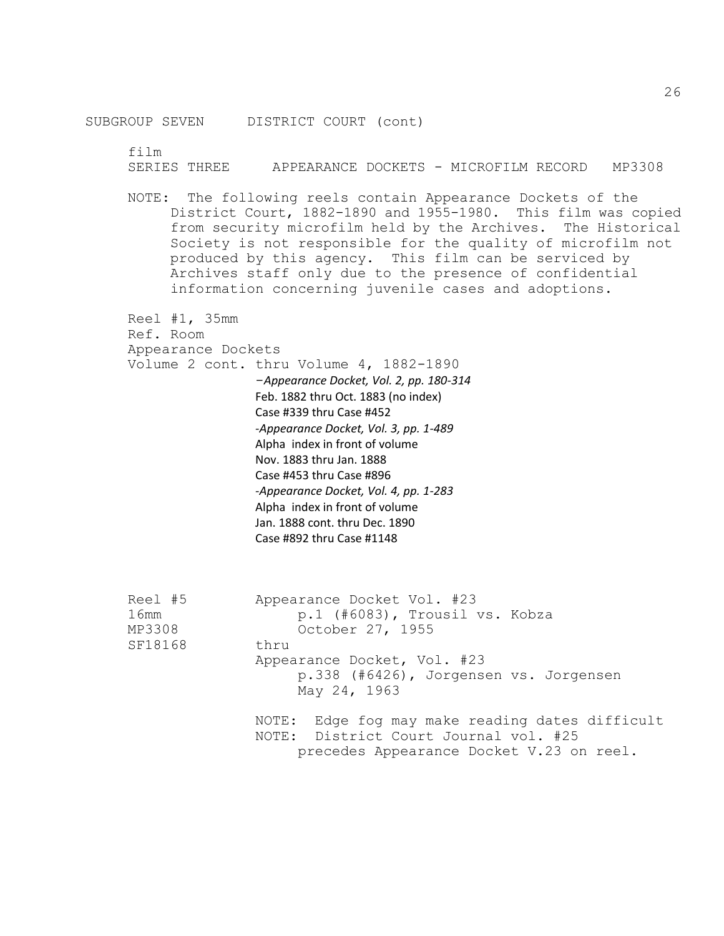SUBGROUP SEVEN DISTRICT COURT (cont)

film

SERIES THREE APPEARANCE DOCKETS - MICROFILM RECORD MP3308

NOTE: The following reels contain Appearance Dockets of the District Court, 1882-1890 and 1955-1980. This film was copied from security microfilm held by the Archives. The Historical Society is not responsible for the quality of microfilm not produced by this agency. This film can be serviced by Archives staff only due to the presence of confidential information concerning juvenile cases and adoptions.

 Reel #1, 35mm Ref. Room Appearance Dockets Volume 2 cont. thru Volume 4, 1882-1890 -*Appearance Docket, Vol. 2, pp. 180-314* Feb. 1882 thru Oct. 1883 (no index) Case #339 thru Case #452 *-Appearance Docket, Vol. 3, pp. 1-489* Alpha index in front of volume Nov. 1883 thru Jan. 1888 Case #453 thru Case #896 *-Appearance Docket, Vol. 4, pp. 1-283* Alpha index in front of volume Jan. 1888 cont. thru Dec. 1890 Case #892 thru Case #1148 Reel #5 Appearance Docket Vol. #23 16mm p.1 (#6083), Trousil vs. Kobza MP3308 October 27, 1955

SF18168 thru

Appearance Docket, Vol. #23

p.338 (#6426), Jorgensen vs. Jorgensen May 24, 1963

NOTE: Edge fog may make reading dates difficult NOTE: District Court Journal vol. #25 precedes Appearance Docket V.23 on reel.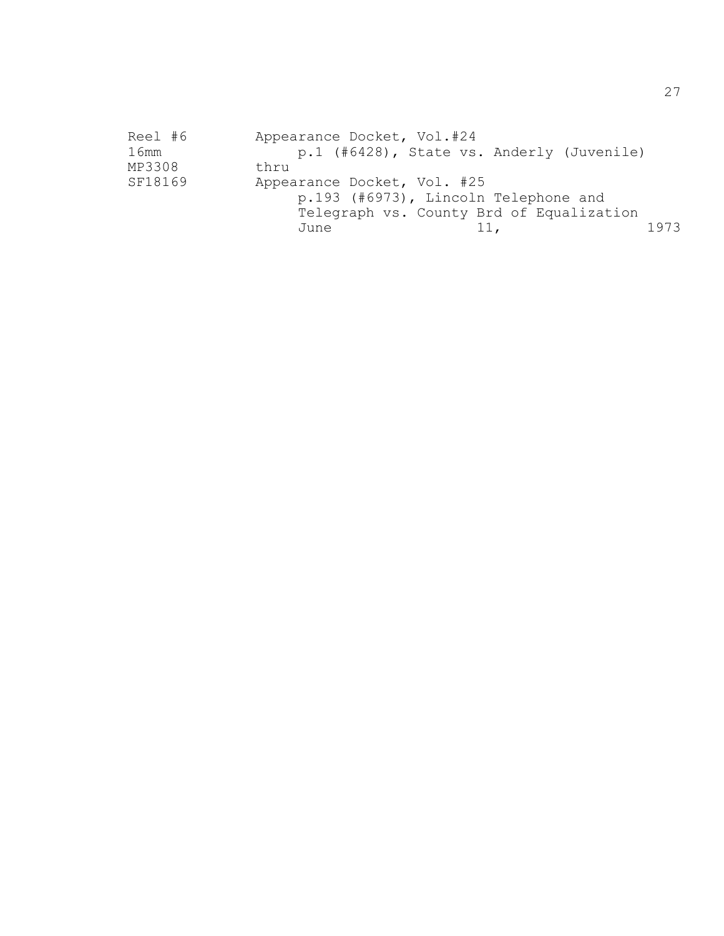| Reel #6 | Appearance Docket, Vol.#24                |                                                                                  |      |
|---------|-------------------------------------------|----------------------------------------------------------------------------------|------|
| 16mm    | p.1 (#6428), State vs. Anderly (Juvenile) |                                                                                  |      |
| MP3308  | thru                                      |                                                                                  |      |
| SF18169 | Appearance Docket, Vol. #25               | p.193 (#6973), Lincoln Telephone and<br>Telegraph vs. County Brd of Equalization |      |
|         | June                                      | 11,                                                                              | 1973 |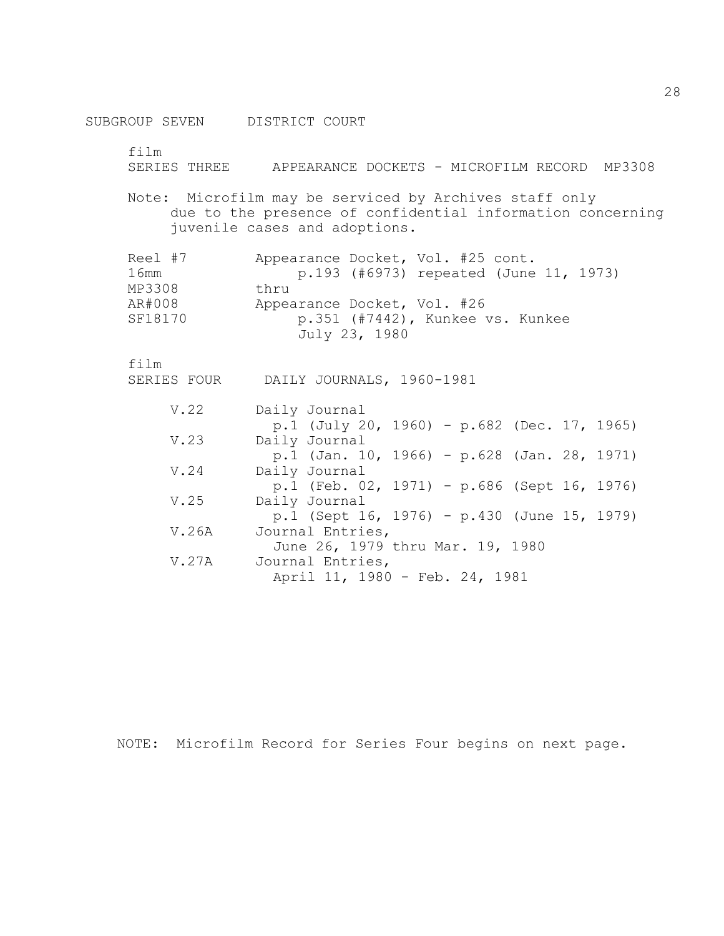SUBGROUP SEVEN DISTRICT COURT film SERIES THREE APPEARANCE DOCKETS - MICROFILM RECORD MP3308 Note: Microfilm may be serviced by Archives staff only due to the presence of confidential information concerning juvenile cases and adoptions. Reel #7 Appearance Docket, Vol. #25 cont. 16mm p.193 (#6973) repeated (June 11, 1973) MP3308 thru AR#008 Appearance Docket, Vol. #26 SF18170 p.351 (#7442), Kunkee vs. Kunkee July 23, 1980 film SERIES FOUR DAILY JOURNALS, 1960-1981 V.22 Daily Journal p.1 (July 20, 1960) - p.682 (Dec. 17, 1965) V.23 Daily Journal p.1 (Jan. 10, 1966) - p.628 (Jan. 28, 1971) V.24 Daily Journal p.1 (Feb. 02, 1971) - p.686 (Sept 16, 1976) V.25 Daily Journal p.1 (Sept 16, 1976) - p.430 (June 15, 1979) V.26A Journal Entries, June 26, 1979 thru Mar. 19, 1980 V.27A Journal Entries, April 11, 1980 - Feb. 24, 1981

NOTE: Microfilm Record for Series Four begins on next page.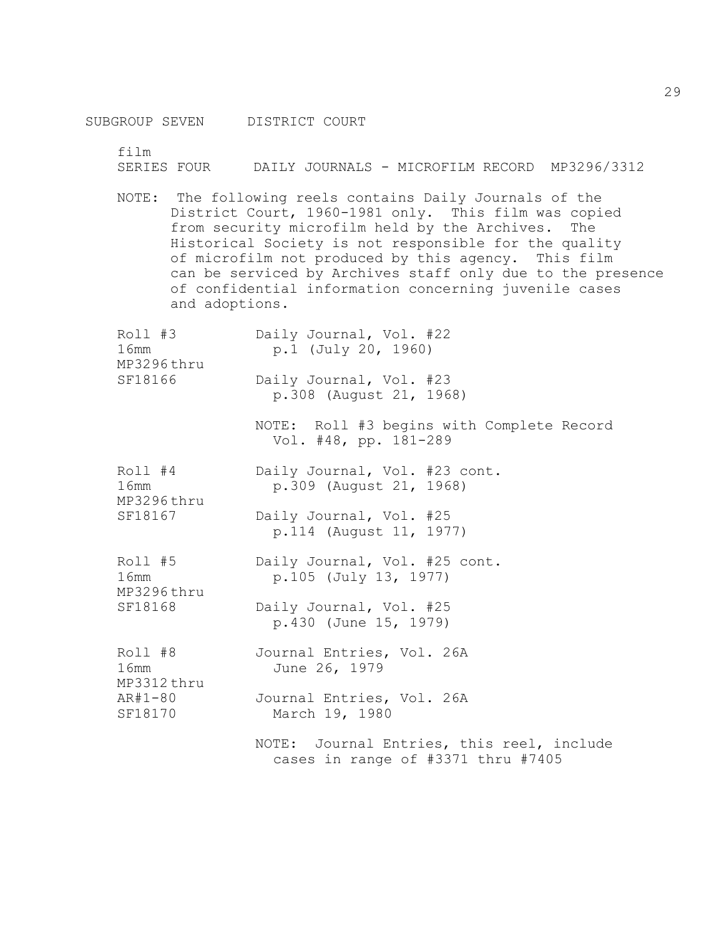film

SERIES FOUR DAILY JOURNALS - MICROFILM RECORD MP3296/3312

NOTE: The following reels contains Daily Journals of the District Court, 1960-1981 only. This film was copied from security microfilm held by the Archives. The Historical Society is not responsible for the quality of microfilm not produced by this agency. This film can be serviced by Archives staff only due to the presence of confidential information concerning juvenile cases and adoptions.

| Roll #3<br>16mm<br>MP3296thru            | Daily Journal, Vol. #22<br>p.1 (July 20, 1960)                                  |
|------------------------------------------|---------------------------------------------------------------------------------|
| SF18166                                  | Daily Journal, Vol. #23<br>p.308 (August 21, 1968)                              |
|                                          | NOTE: Roll #3 begins with Complete Record<br>Vol. #48, pp. 181-289              |
| Roll #4<br>16mm<br>MP3296thru<br>SF18167 | Daily Journal, Vol. #23 cont.<br>p.309 (August 21, 1968)                        |
|                                          | Daily Journal, Vol. #25<br>p.114 (August 11, 1977)                              |
| Roll #5<br>16mm<br>MP3296thru<br>SF18168 | Daily Journal, Vol. #25 cont.<br>p.105 (July 13, 1977)                          |
|                                          | Daily Journal, Vol. #25<br>p.430 (June 15, 1979)                                |
| Roll #8<br>16mm<br>MP3312thru            | Journal Entries, Vol. 26A<br>June 26, 1979                                      |
| $AR#1-80$<br>SF18170                     | Journal Entries, Vol. 26A<br>March 19, 1980                                     |
|                                          | NOTE: Journal Entries, this reel, include<br>cases in range of #3371 thru #7405 |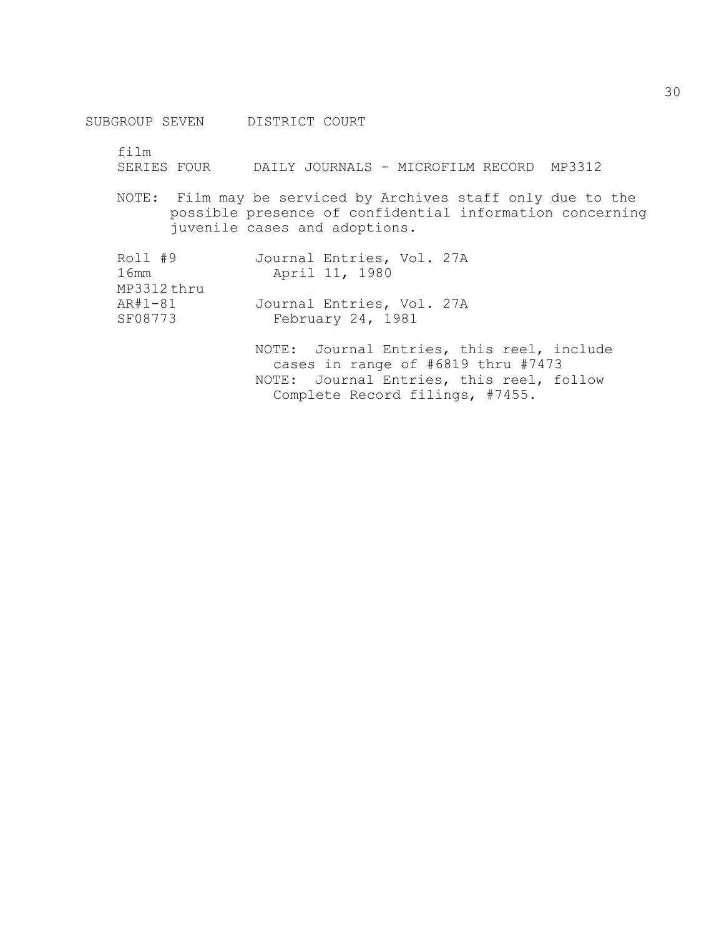SUBGROUP SEVEN DISTRICT COURT

film

SERIES FOUR DAILY JOURNALS - MICROFILM RECORD MP3312

NOTE: Film may be serviced by Archives staff only due to the possible presence of confidential information concerning juvenile cases and adoptions.

| Roll #9    | Journal Entries, Vol. 27A                 |
|------------|-------------------------------------------|
| 16mm       | April 11, 1980                            |
| MP3312thru |                                           |
| AR#1-81    | Journal Entries, Vol. 27A                 |
| SF08773    | February 24, 1981                         |
|            | NOTE: Journal Entries, this reel, include |
|            | cases in range of #6819 thru #7473        |
|            | NOTE: Journal Entries, this reel, follow  |

Complete Record filings, #7455.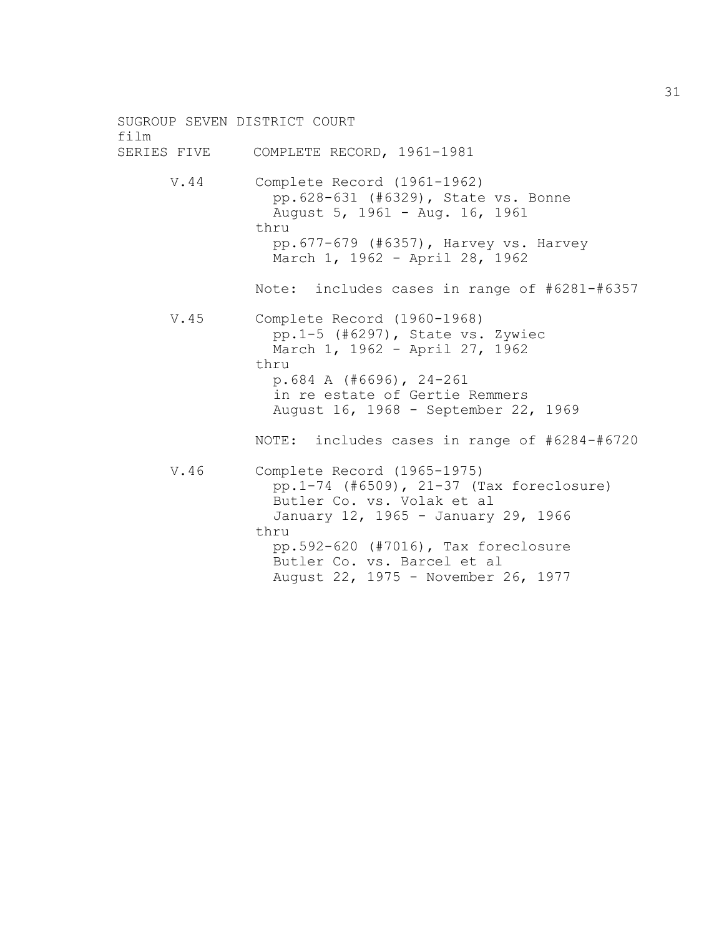SUGROUP SEVEN DISTRICT COURT film SERIES FIVE COMPLETE RECORD, 1961-1981 V.44 Complete Record (1961-1962) pp.628-631 (#6329), State vs. Bonne August 5, 1961 - Aug. 16, 1961 thru pp.677-679 (#6357), Harvey vs. Harvey March 1, 1962 - April 28, 1962 Note: includes cases in range of #6281-#6357 V.45 Complete Record (1960-1968) pp.1-5 (#6297), State vs. Zywiec March 1, 1962 - April 27, 1962 thru p.684 A (#6696), 24-261 in re estate of Gertie Remmers August 16, 1968 - September 22, 1969 NOTE: includes cases in range of #6284-#6720 V.46 Complete Record (1965-1975) pp.1-74 (#6509), 21-37 (Tax foreclosure) Butler Co. vs. Volak et al January 12, 1965 - January 29, 1966 thru pp.592-620 (#7016), Tax foreclosure Butler Co. vs. Barcel et al August 22, 1975 - November 26, 1977

31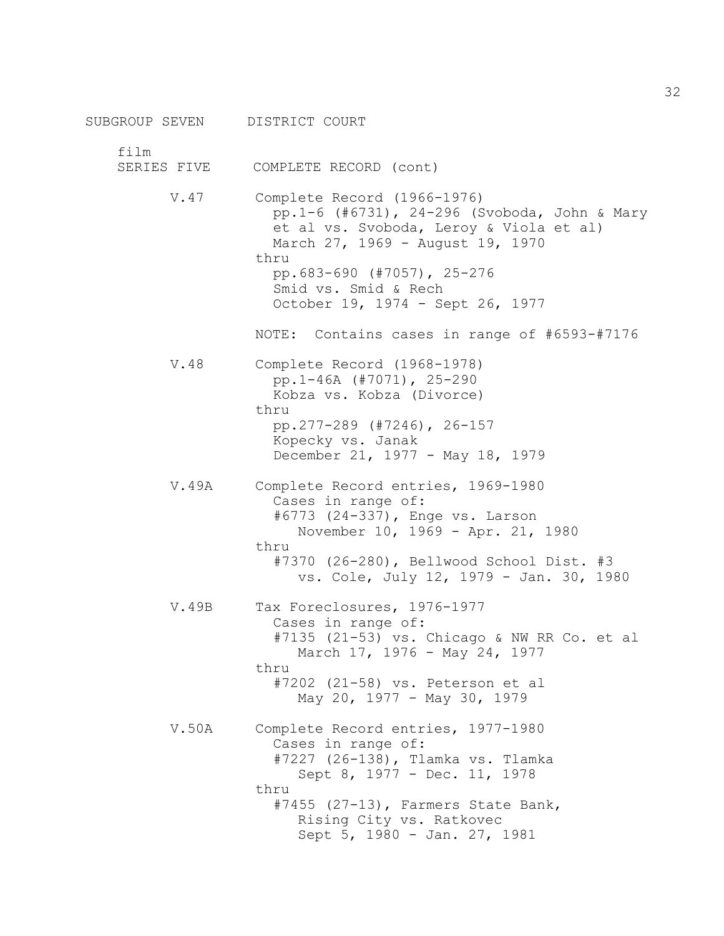SUBGROUP SEVEN DISTRICT COURT film SERIES FIVE COMPLETE RECORD (cont) V.47 Complete Record (1966-1976) pp.1-6 (#6731), 24-296 (Svoboda, John & Mary et al vs. Svoboda, Leroy & Viola et al) March 27, 1969 - August 19, 1970 thru pp.683-690 (#7057), 25-276 Smid vs. Smid & Rech October 19, 1974 - Sept 26, 1977 NOTE: Contains cases in range of #6593-#7176 V.48 Complete Record (1968-1978) pp.1-46A (#7071), 25-290 Kobza vs. Kobza (Divorce) thru pp.277-289 (#7246), 26-157 Kopecky vs. Janak December 21, 1977 - May 18, 1979 V.49A Complete Record entries, 1969-1980 Cases in range of: #6773 (24-337), Enge vs. Larson November 10, 1969 - Apr. 21, 1980 thru #7370 (26-280), Bellwood School Dist. #3 vs. Cole, July 12, 1979 - Jan. 30, 1980 V.49B Tax Foreclosures, 1976-1977 Cases in range of: #7135 (21-53) vs. Chicago & NW RR Co. et al March 17, 1976 - May 24, 1977 thru #7202 (21-58) vs. Peterson et al May 20, 1977 - May 30, 1979 V.50A Complete Record entries, 1977-1980 Cases in range of: #7227 (26-138), Tlamka vs. Tlamka Sept 8, 1977 - Dec. 11, 1978 thru #7455 (27-13), Farmers State Bank, Rising City vs. Ratkovec Sept 5, 1980 - Jan. 27, 1981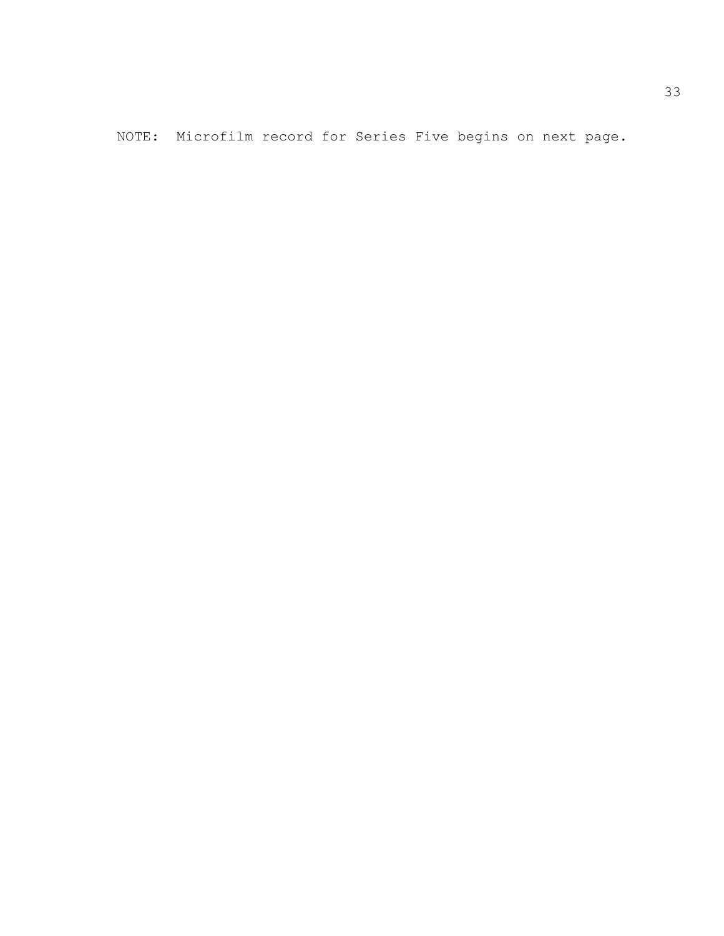NOTE: Microfilm record for Series Five begins on next page.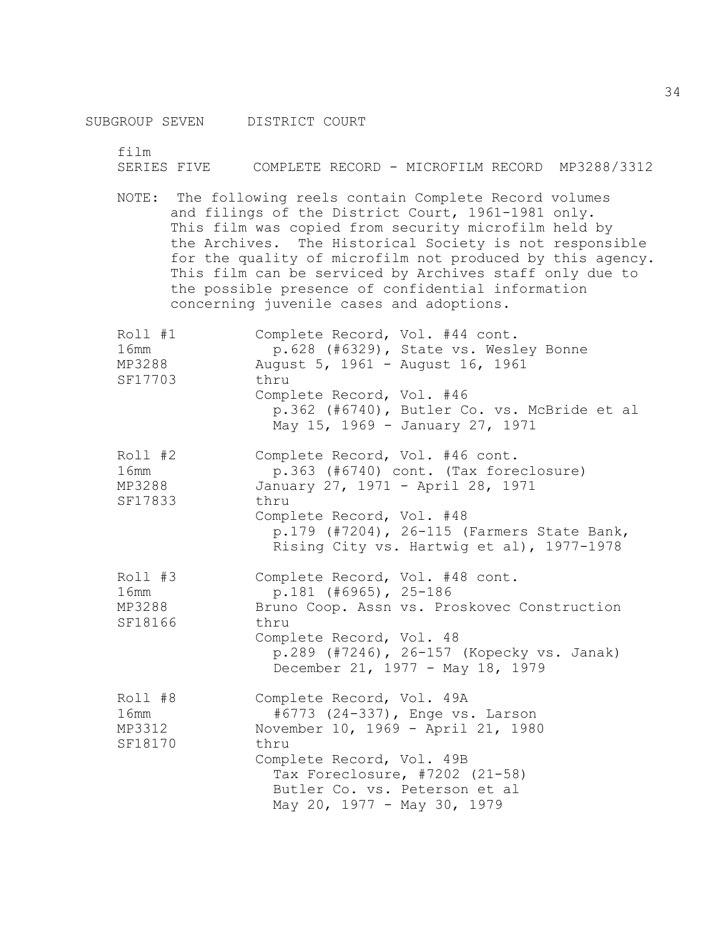film

SERIES FIVE COMPLETE RECORD - MICROFILM RECORD MP3288/3312

NOTE: The following reels contain Complete Record volumes and filings of the District Court, 1961-1981 only. This film was copied from security microfilm held by the Archives. The Historical Society is not responsible for the quality of microfilm not produced by this agency. This film can be serviced by Archives staff only due to the possible presence of confidential information concerning juvenile cases and adoptions.

| Roll #1<br>16mm<br>MP3288<br>SF17703 | Complete Record, Vol. #44 cont.<br>p.628 (#6329), State vs. Wesley Bonne<br>August 5, 1961 - August 16, 1961<br>thru<br>Complete Record, Vol. #46<br>p.362 (#6740), Butler Co. vs. McBride et al<br>May 15, 1969 - January 27, 1971           |
|--------------------------------------|-----------------------------------------------------------------------------------------------------------------------------------------------------------------------------------------------------------------------------------------------|
| Roll #2<br>16mm<br>MP3288<br>SF17833 | Complete Record, Vol. #46 cont.<br>p.363 (#6740) cont. (Tax foreclosure)<br>January 27, 1971 - April 28, 1971<br>thru<br>Complete Record, Vol. #48<br>p.179 (#7204), 26-115 (Farmers State Bank,<br>Rising City vs. Hartwig et al), 1977-1978 |
| Roll #3<br>16mm<br>MP3288<br>SF18166 | Complete Record, Vol. #48 cont.<br>$p.181$ (#6965), 25-186<br>Bruno Coop. Assn vs. Proskovec Construction<br>thru<br>Complete Record, Vol. 48<br>p.289 (#7246), 26-157 (Kopecky vs. Janak)<br>December 21, 1977 - May 18, 1979                |
| Roll #8<br>16mm<br>MP3312<br>SF18170 | Complete Record, Vol. 49A<br>#6773 (24-337), Enge vs. Larson<br>November 10, 1969 - April 21, 1980<br>thru<br>Complete Record, Vol. 49B<br>Tax Foreclosure, #7202 (21-58)<br>Butler Co. vs. Peterson et al<br>May 20, 1977 - May 30, 1979     |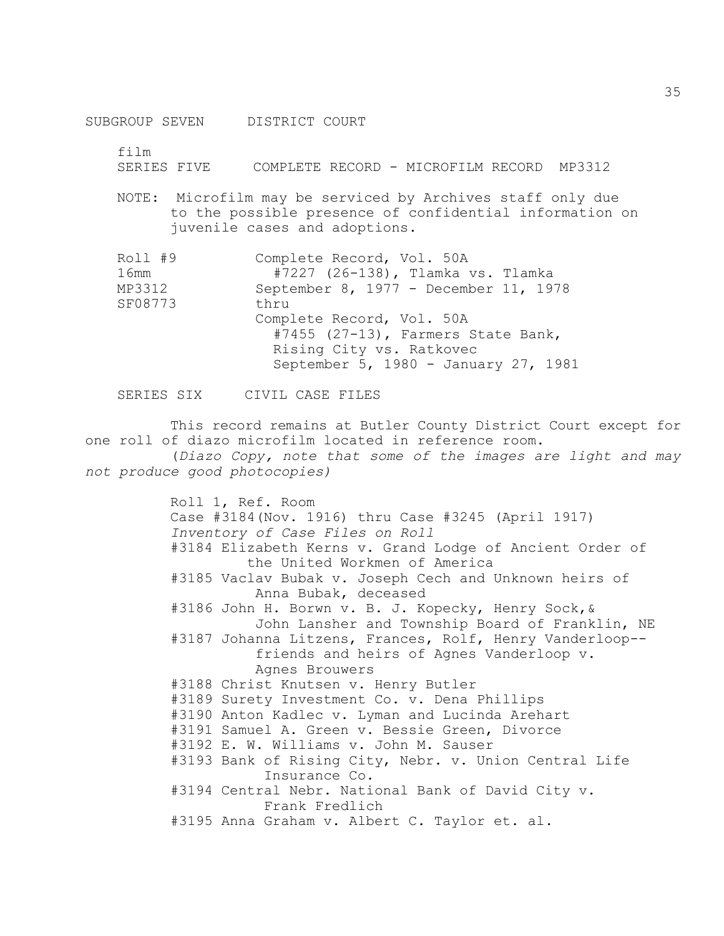SUBGROUP SEVEN DISTRICT COURT

film

SERIES FIVE COMPLETE RECORD - MICROFILM RECORD MP3312

NOTE: Microfilm may be serviced by Archives staff only due to the possible presence of confidential information on juvenile cases and adoptions.

| Roll #9 | Complete Record, Vol. 50A             |
|---------|---------------------------------------|
| 16mm    | #7227 (26-138), Tlamka vs. Tlamka     |
| MP3312  | September 8, 1977 - December 11, 1978 |
| SF08773 | thru                                  |
|         | Complete Record, Vol. 50A             |
|         | #7455 $(27-13)$ , Farmers State Bank, |
|         | Rising City vs. Ratkovec              |
|         | September 5, 1980 - January 27, 1981  |

SERIES SIX CIVIL CASE FILES

This record remains at Butler County District Court except for one roll of diazo microfilm located in reference room. (*Diazo Copy, note that some of the images are light and may* 

*not produce good photocopies)*

Roll 1, Ref. Room Case #3184(Nov. 1916) thru Case #3245 (April 1917) *Inventory of Case Files on Roll* #3184 Elizabeth Kerns v. Grand Lodge of Ancient Order of the United Workmen of America #3185 Vaclav Bubak v. Joseph Cech and Unknown heirs of Anna Bubak, deceased #3186 John H. Borwn v. B. J. Kopecky, Henry Sock,& John Lansher and Township Board of Franklin, NE #3187 Johanna Litzens, Frances, Rolf, Henry Vanderloop- friends and heirs of Agnes Vanderloop v. Agnes Brouwers #3188 Christ Knutsen v. Henry Butler #3189 Surety Investment Co. v. Dena Phillips #3190 Anton Kadlec v. Lyman and Lucinda Arehart #3191 Samuel A. Green v. Bessie Green, Divorce #3192 E. W. Williams v. John M. Sauser #3193 Bank of Rising City, Nebr. v. Union Central Life Insurance Co. #3194 Central Nebr. National Bank of David City v. Frank Fredlich #3195 Anna Graham v. Albert C. Taylor et. al.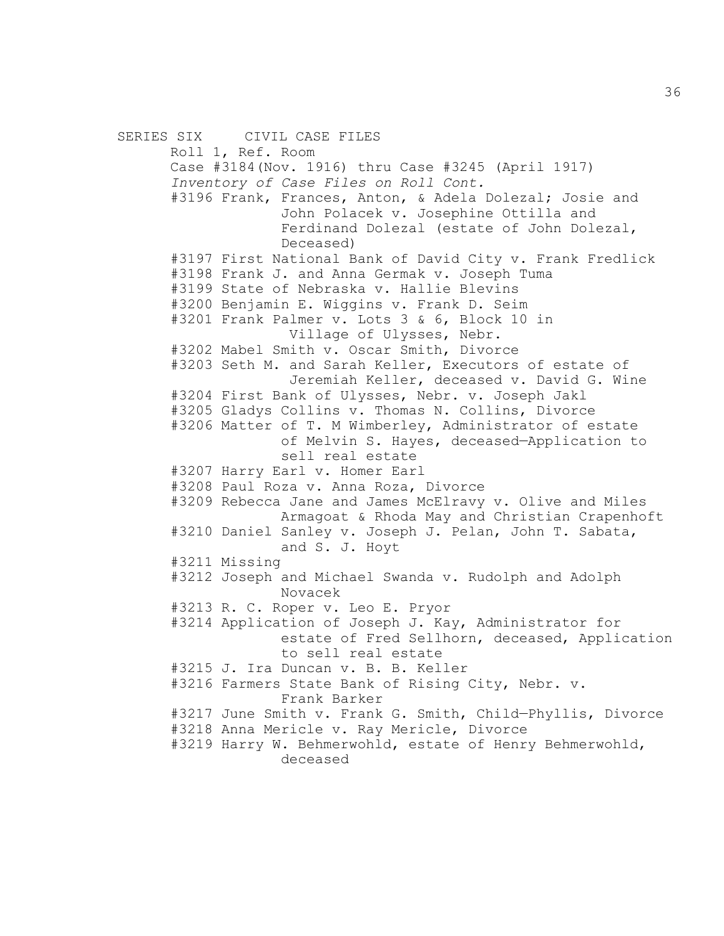SERIES SIX CIVIL CASE FILES Roll 1, Ref. Room Case #3184(Nov. 1916) thru Case #3245 (April 1917) *Inventory of Case Files on Roll Cont.*  #3196 Frank, Frances, Anton, & Adela Dolezal; Josie and John Polacek v. Josephine Ottilla and Ferdinand Dolezal (estate of John Dolezal, Deceased) #3197 First National Bank of David City v. Frank Fredlick #3198 Frank J. and Anna Germak v. Joseph Tuma #3199 State of Nebraska v. Hallie Blevins #3200 Benjamin E. Wiggins v. Frank D. Seim #3201 Frank Palmer v. Lots 3 & 6, Block 10 in Village of Ulysses, Nebr. #3202 Mabel Smith v. Oscar Smith, Divorce #3203 Seth M. and Sarah Keller, Executors of estate of Jeremiah Keller, deceased v. David G. Wine #3204 First Bank of Ulysses, Nebr. v. Joseph Jakl #3205 Gladys Collins v. Thomas N. Collins, Divorce #3206 Matter of T. M Wimberley, Administrator of estate of Melvin S. Hayes, deceased—Application to sell real estate #3207 Harry Earl v. Homer Earl #3208 Paul Roza v. Anna Roza, Divorce #3209 Rebecca Jane and James McElravy v. Olive and Miles Armagoat & Rhoda May and Christian Crapenhoft #3210 Daniel Sanley v. Joseph J. Pelan, John T. Sabata, and S. J. Hoyt #3211 Missing #3212 Joseph and Michael Swanda v. Rudolph and Adolph Novacek #3213 R. C. Roper v. Leo E. Pryor #3214 Application of Joseph J. Kay, Administrator for estate of Fred Sellhorn, deceased, Application to sell real estate #3215 J. Ira Duncan v. B. B. Keller #3216 Farmers State Bank of Rising City, Nebr. v. Frank Barker #3217 June Smith v. Frank G. Smith, Child—Phyllis, Divorce #3218 Anna Mericle v. Ray Mericle, Divorce #3219 Harry W. Behmerwohld, estate of Henry Behmerwohld, deceased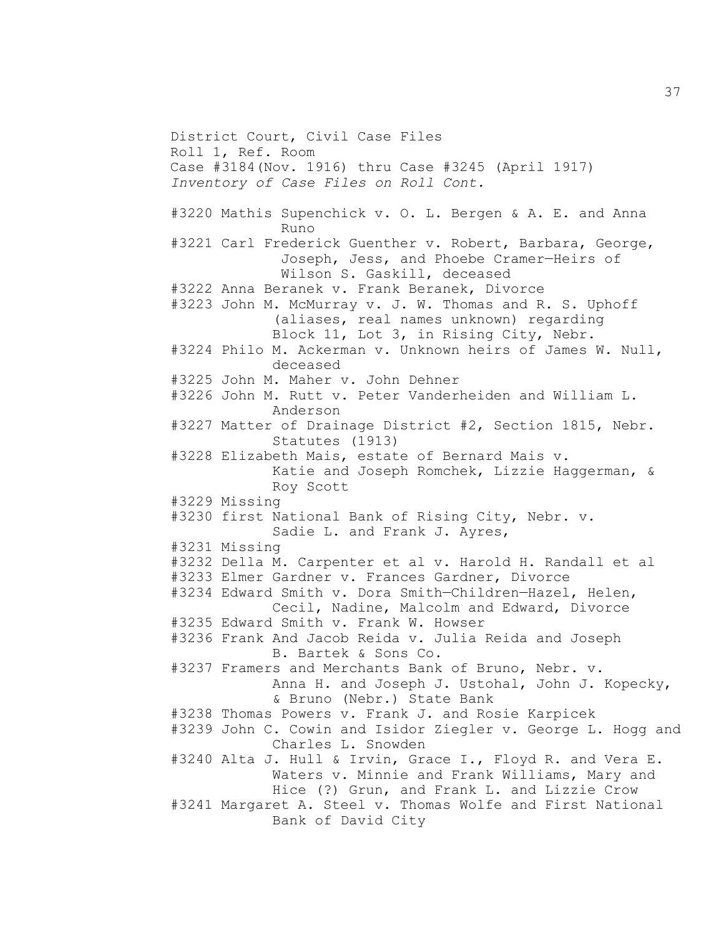District Court, Civil Case Files Roll 1, Ref. Room Case #3184(Nov. 1916) thru Case #3245 (April 1917) *Inventory of Case Files on Roll Cont.* #3220 Mathis Supenchick v. O. L. Bergen & A. E. and Anna Runo #3221 Carl Frederick Guenther v. Robert, Barbara, George, Joseph, Jess, and Phoebe Cramer—Heirs of Wilson S. Gaskill, deceased #3222 Anna Beranek v. Frank Beranek, Divorce #3223 John M. McMurray v. J. W. Thomas and R. S. Uphoff (aliases, real names unknown) regarding Block 11, Lot 3, in Rising City, Nebr. #3224 Philo M. Ackerman v. Unknown heirs of James W. Null, deceased #3225 John M. Maher v. John Dehner #3226 John M. Rutt v. Peter Vanderheiden and William L. Anderson #3227 Matter of Drainage District #2, Section 1815, Nebr. Statutes (1913) #3228 Elizabeth Mais, estate of Bernard Mais v. Katie and Joseph Romchek, Lizzie Haggerman, & Roy Scott #3229 Missing #3230 first National Bank of Rising City, Nebr. v. Sadie L. and Frank J. Ayres, #3231 Missing #3232 Della M. Carpenter et al v. Harold H. Randall et al #3233 Elmer Gardner v. Frances Gardner, Divorce #3234 Edward Smith v. Dora Smith—Children—Hazel, Helen, Cecil, Nadine, Malcolm and Edward, Divorce #3235 Edward Smith v. Frank W. Howser #3236 Frank And Jacob Reida v. Julia Reida and Joseph B. Bartek & Sons Co. #3237 Framers and Merchants Bank of Bruno, Nebr. v. Anna H. and Joseph J. Ustohal, John J. Kopecky, & Bruno (Nebr.) State Bank #3238 Thomas Powers v. Frank J. and Rosie Karpicek #3239 John C. Cowin and Isidor Ziegler v. George L. Hogg and Charles L. Snowden #3240 Alta J. Hull & Irvin, Grace I., Floyd R. and Vera E. Waters v. Minnie and Frank Williams, Mary and Hice (?) Grun, and Frank L. and Lizzie Crow #3241 Margaret A. Steel v. Thomas Wolfe and First National Bank of David City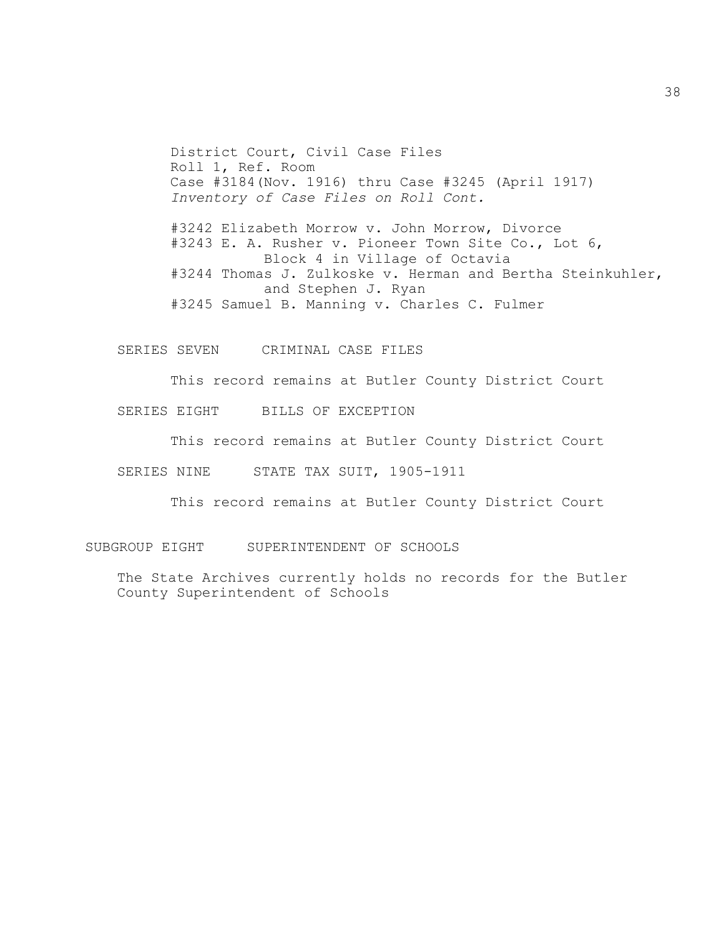District Court, Civil Case Files Roll 1, Ref. Room Case #3184(Nov. 1916) thru Case #3245 (April 1917) *Inventory of Case Files on Roll Cont.*

#3242 Elizabeth Morrow v. John Morrow, Divorce #3243 E. A. Rusher v. Pioneer Town Site Co., Lot 6, Block 4 in Village of Octavia #3244 Thomas J. Zulkoske v. Herman and Bertha Steinkuhler, and Stephen J. Ryan #3245 Samuel B. Manning v. Charles C. Fulmer

SERIES SEVEN CRIMINAL CASE FILES

This record remains at Butler County District Court

SERIES EIGHT BILLS OF EXCEPTION

This record remains at Butler County District Court

SERIES NINE STATE TAX SUIT, 1905-1911

This record remains at Butler County District Court

SUBGROUP EIGHT SUPERINTENDENT OF SCHOOLS

The State Archives currently holds no records for the Butler County Superintendent of Schools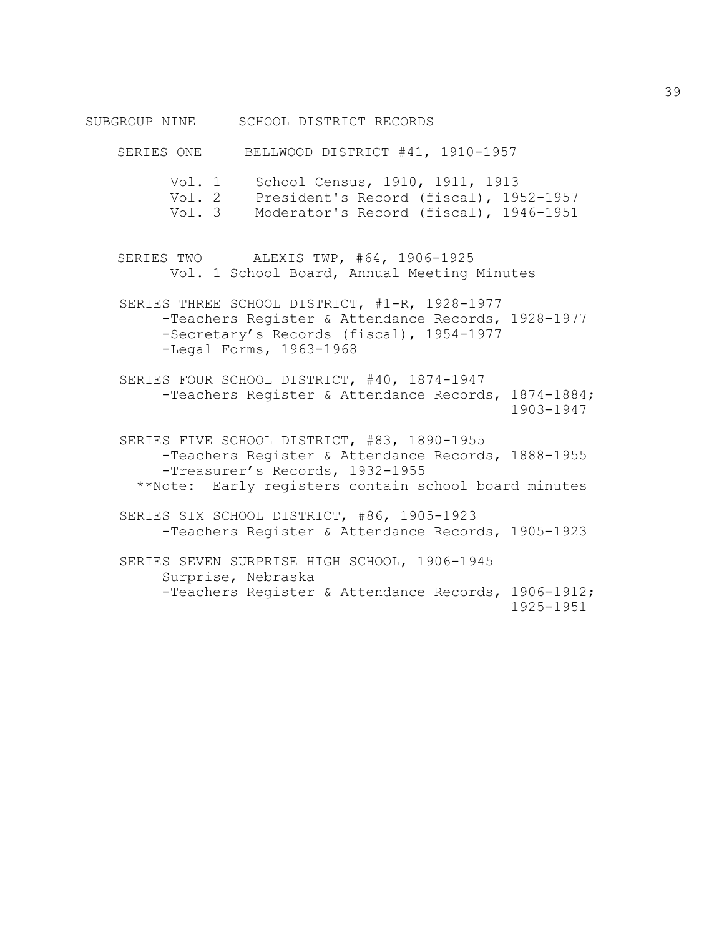SUBGROUP NINE SCHOOL DISTRICT RECORDS

SERIES ONE BELLWOOD DISTRICT #41, 1910-1957 Vol. 1 School Census, 1910, 1911, 1913 Vol. 2 President's Record (fiscal), 1952-1957 Vol. 3 Moderator's Record (fiscal), 1946-1951 SERIES TWO ALEXIS TWP, #64, 1906-1925 Vol. 1 School Board, Annual Meeting Minutes SERIES THREE SCHOOL DISTRICT, #1-R, 1928-1977 -Teachers Register & Attendance Records, 1928-1977 -Secretary's Records (fiscal), 1954-1977 -Legal Forms, 1963-1968 SERIES FOUR SCHOOL DISTRICT, #40, 1874-1947 -Teachers Register & Attendance Records, 1874-1884; 1903-1947 SERIES FIVE SCHOOL DISTRICT, #83, 1890-1955 -Teachers Register & Attendance Records, 1888-1955 -Treasurer's Records, 1932-1955 \*\*Note: Early registers contain school board minutes SERIES SIX SCHOOL DISTRICT, #86, 1905-1923 -Teachers Register & Attendance Records, 1905-1923 SERIES SEVEN SURPRISE HIGH SCHOOL, 1906-1945 Surprise, Nebraska -Teachers Register & Attendance Records, 1906-1912; 1925-1951

39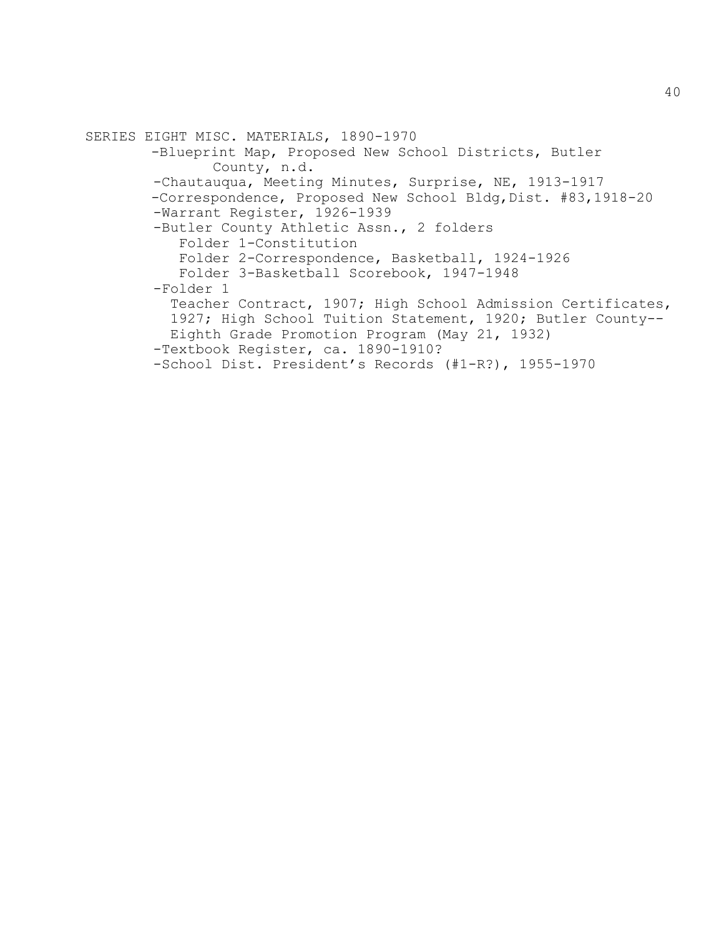```
SERIES EIGHT MISC. MATERIALS, 1890-1970
-Blueprint Map, Proposed New School Districts, Butler
        County, n.d.
 -Chautauqua, Meeting Minutes, Surprise, NE, 1913-1917
-Correspondence, Proposed New School Bldg,Dist. #83,1918-20
 -Warrant Register, 1926-1939
 -Butler County Athletic Assn., 2 folders
    Folder 1-Constitution
    Folder 2-Correspondence, Basketball, 1924-1926
   Folder 3-Basketball Scorebook, 1947-1948
 -Folder 1
   Teacher Contract, 1907; High School Admission Certificates,
   1927; High School Tuition Statement, 1920; Butler County--
   Eighth Grade Promotion Program (May 21, 1932) 
 -Textbook Register, ca. 1890-1910?
 -School Dist. President's Records (#1-R?), 1955-1970
```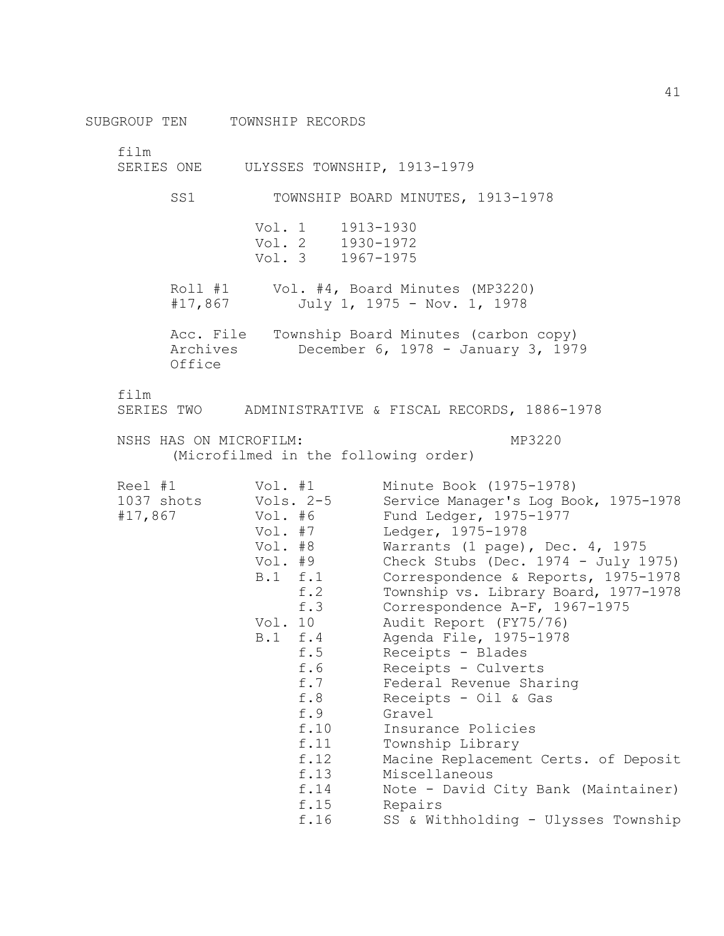SUBGROUP TEN TOWNSHIP RECORDS

film

SERIES ONE ULYSSES TOWNSHIP, 1913-1979

SS1 TOWNSHIP BOARD MINUTES, 1913-1978 Vol. 1 1913-1930<br>Vol. 2 1930-1972 Vol. 2 1930-1972 Vol. 3 1967-1975 Roll #1 Vol. #4, Board Minutes (MP3220) #17,867 July 1, 1975 - Nov. 1, 1978 Acc. File Township Board Minutes (carbon copy) Archives December 6, 1978 - January 3, 1979 Office

film

SERIES TWO ADMINISTRATIVE & FISCAL RECORDS, 1886-1978

NSHS HAS ON MICROFILM:  $MP3220$ 

(Microfilmed in the following order)

| Reel #1 Vol. #1 |                      | Minute Book (1975-1978)                |
|-----------------|----------------------|----------------------------------------|
|                 | 1037 shots Vols. 2-5 | Service Manager's Log Book, 1975-1978  |
| #17,867         | Vol. #6              | Fund Ledger, 1975-1977                 |
|                 | Vol. #7              | Ledger, 1975-1978                      |
|                 | Vol. #8              | Warrants (1 page), Dec. 4, 1975        |
|                 | Vol. #9              | Check Stubs (Dec. $1974 - July 1975$ ) |
|                 | B.1 f.1              | Correspondence & Reports, 1975-1978    |
|                 | f.2                  | Township vs. Library Board, 1977-1978  |
|                 | f.3                  | Correspondence A-F, 1967-1975          |
|                 | Vol. 10              | Audit Report (FY75/76)                 |
|                 | B.1 f.4              | Agenda File, 1975-1978                 |
|                 | f.5                  | Receipts - Blades                      |
|                 | f.6                  | Receipts - Culverts                    |
|                 | f.7                  | Federal Revenue Sharing                |
|                 | f.8                  | Receipts - Oil & Gas                   |
|                 | f.9                  | Gravel                                 |
|                 | f.10                 | Insurance Policies                     |
|                 | f.11                 | Township Library                       |
|                 | f.12                 | Macine Replacement Certs. of Deposit   |
|                 | f.13                 | Miscellaneous                          |
|                 | f.14                 | Note - David City Bank (Maintainer)    |
|                 | f.15                 | Repairs                                |
|                 | f.16                 | SS & Withholding - Ulysses Township    |